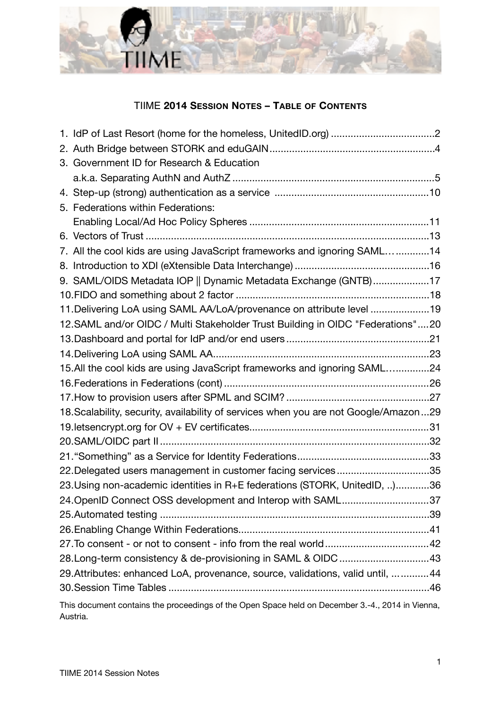

## TIIME **2014 SESSION NOTES – TABLE OF CONTENTS**

| 3. Government ID for Research & Education                                                                    |  |
|--------------------------------------------------------------------------------------------------------------|--|
|                                                                                                              |  |
|                                                                                                              |  |
| 5. Federations within Federations:                                                                           |  |
|                                                                                                              |  |
|                                                                                                              |  |
| 7. All the cool kids are using JavaScript frameworks and ignoring SAML14                                     |  |
|                                                                                                              |  |
| 9. SAML/OIDS Metadata IOP    Dynamic Metadata Exchange (GNTB)17                                              |  |
|                                                                                                              |  |
| 11. Delivering LoA using SAML AA/LoA/provenance on attribute level 19                                        |  |
| 12. SAML and/or OIDC / Multi Stakeholder Trust Building in OIDC "Federations" 20                             |  |
|                                                                                                              |  |
|                                                                                                              |  |
| 15.All the cool kids are using JavaScript frameworks and ignoring SAML24                                     |  |
|                                                                                                              |  |
|                                                                                                              |  |
| 18. Scalability, security, availability of services when you are not Google/Amazon 29                        |  |
|                                                                                                              |  |
|                                                                                                              |  |
|                                                                                                              |  |
| 22. Delegated users management in customer facing services35                                                 |  |
| 23. Using non-academic identities in R+E federations (STORK, UnitedID, )36                                   |  |
| 24. OpenID Connect OSS development and Interop with SAML37                                                   |  |
|                                                                                                              |  |
|                                                                                                              |  |
|                                                                                                              |  |
| 28. Long-term consistency & de-provisioning in SAML & OIDC 43                                                |  |
| 29. Attributes: enhanced LoA, provenance, source, validations, valid until,   44                             |  |
|                                                                                                              |  |
| This document contains the proceedings of the Open Space held on December 3.-4., 2014 in Vienna,<br>Austria. |  |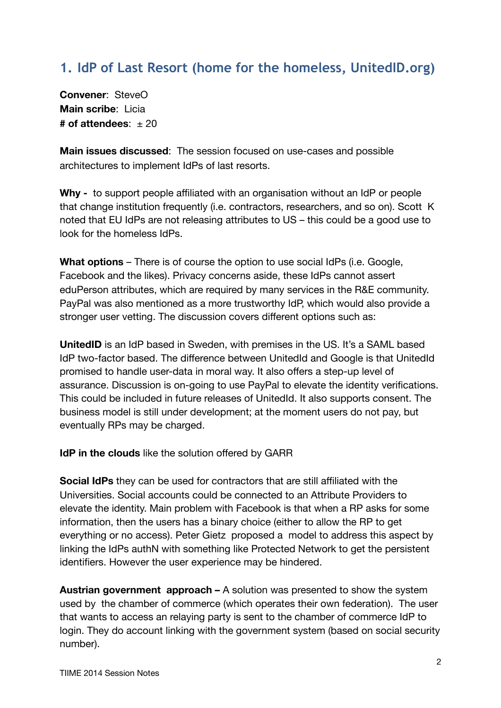# <span id="page-1-0"></span>**1. IdP of Last Resort (home for the homeless, UnitedID.org)**

**Convener**: SteveO **Main scribe**: Licia  $#$  of attendees:  $+20$ 

**Main issues discussed**: The session focused on use-cases and possible architectures to implement IdPs of last resorts.

**Why -** to support people affiliated with an organisation without an IdP or people that change institution frequently (i.e. contractors, researchers, and so on). Scott K noted that EU IdPs are not releasing attributes to US – this could be a good use to look for the homeless IdPs.

**What options** – There is of course the option to use social IdPs (i.e. Google, Facebook and the likes). Privacy concerns aside, these IdPs cannot assert eduPerson attributes, which are required by many services in the R&E community. PayPal was also mentioned as a more trustworthy IdP, which would also provide a stronger user vetting. The discussion covers different options such as:

**UnitedID** is an IdP based in Sweden, with premises in the US. It's a SAML based IdP two-factor based. The difference between UnitedId and Google is that UnitedId promised to handle user-data in moral way. It also offers a step-up level of assurance. Discussion is on-going to use PayPal to elevate the identity verifications. This could be included in future releases of UnitedId. It also supports consent. The business model is still under development; at the moment users do not pay, but eventually RPs may be charged.

**IdP in the clouds** like the solution offered by GARR

**Social IdPs** they can be used for contractors that are still affiliated with the Universities. Social accounts could be connected to an Attribute Providers to elevate the identity. Main problem with Facebook is that when a RP asks for some information, then the users has a binary choice (either to allow the RP to get everything or no access). Peter Gietz proposed a model to address this aspect by linking the IdPs authN with something like Protected Network to get the persistent identifiers. However the user experience may be hindered.

**Austrian government approach –** A solution was presented to show the system used by the chamber of commerce (which operates their own federation). The user that wants to access an relaying party is sent to the chamber of commerce IdP to login. They do account linking with the government system (based on social security number).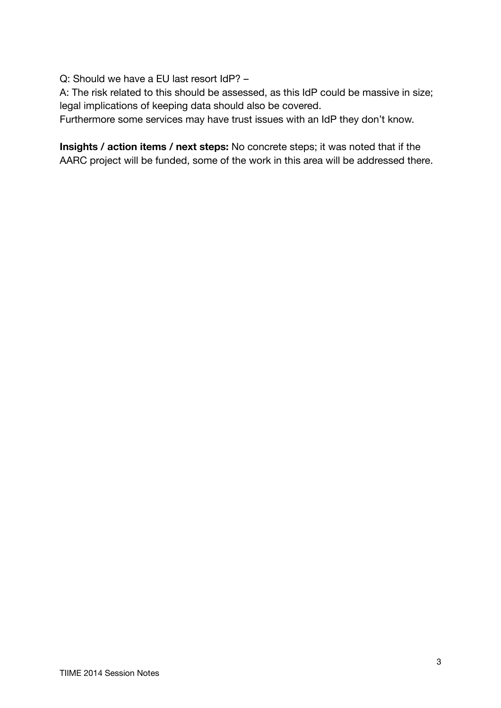Q: Should we have a EU last resort IdP? –

A: The risk related to this should be assessed, as this IdP could be massive in size; legal implications of keeping data should also be covered.

Furthermore some services may have trust issues with an IdP they don't know.

**Insights / action items / next steps:** No concrete steps; it was noted that if the AARC project will be funded, some of the work in this area will be addressed there.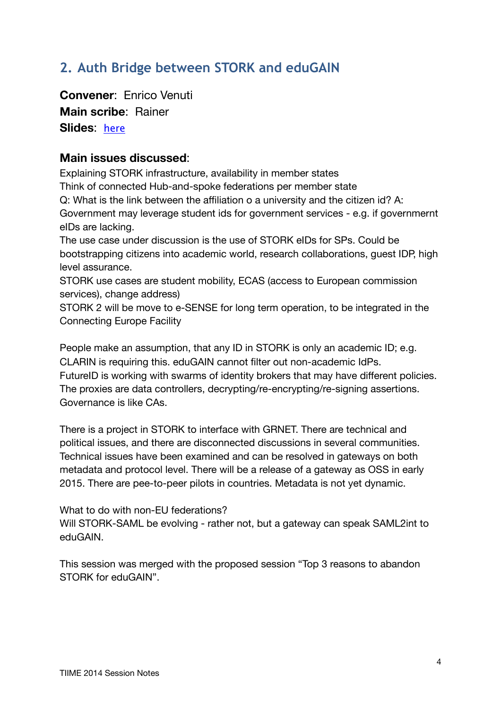# <span id="page-3-1"></span><span id="page-3-0"></span>**2. Auth Bridge between STORK and eduGAIN**

**Convener**: Enrico Venuti **Main scribe**: Rainer **Slides**: [here](https://identityworkshop.eu/ewti2014/Lioy-Venuto_Stork2.pdf)

## **Main issues discussed**:

Explaining STORK infrastructure, availability in member states Think of connected Hub-and-spoke federations per member state Q: What is the link between the affiliation o a university and the citizen id? A: Government may leverage student ids for government services - e.g. if governmernt eIDs are lacking.

The use case under discussion is the use of STORK eIDs for SPs. Could be bootstrapping citizens into academic world, research collaborations, guest IDP, high level assurance.

STORK use cases are student mobility, ECAS (access to European commission services), change address)

STORK 2 will be move to e-SENSE for long term operation, to be integrated in the Connecting Europe Facility

People make an assumption, that any ID in STORK is only an academic ID; e.g. CLARIN is requiring this. eduGAIN cannot filter out non-academic IdPs. FutureID is working with swarms of identity brokers that may have different policies. The proxies are data controllers, decrypting/re-encrypting/re-signing assertions. Governance is like CAs.

There is a project in STORK to interface with GRNET. There are technical and political issues, and there are disconnected discussions in several communities. Technical issues have been examined and can be resolved in gateways on both metadata and protocol level. There will be a release of a gateway as OSS in early 2015. There are pee-to-peer pilots in countries. Metadata is not yet dynamic.

What to do with non-EU federations?

Will STORK-SAML be evolving - rather not, but a gateway can speak SAML2int to eduGAIN.

This session was merged with the proposed session "Top 3 reasons to abandon STORK for eduGAIN".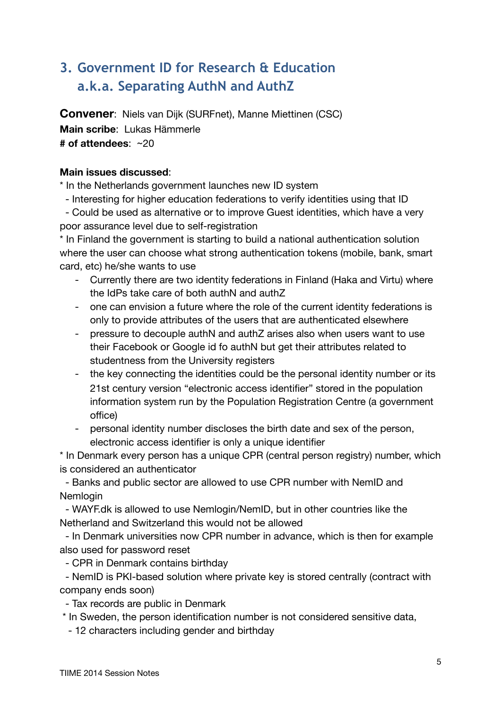# <span id="page-4-0"></span>**3. Government ID for Research & Education a.k.a. Separating AuthN and AuthZ**

**Convener**: Niels van Dijk (SURFnet), Manne Miettinen (CSC) **Main scribe**: Lukas Hämmerle **# of attendees**: ~20 

### **Main issues discussed**:

\* In the Netherlands government launches new ID system

- Interesting for higher education federations to verify identities using that ID

 - Could be used as alternative or to improve Guest identities, which have a very poor assurance level due to self-registration

\* In Finland the government is starting to build a national authentication solution where the user can choose what strong authentication tokens (mobile, bank, smart card, etc) he/she wants to use

- Currently there are two identity federations in Finland (Haka and Virtu) where the IdPs take care of both authN and authZ
- one can envision a future where the role of the current identity federations is only to provide attributes of the users that are authenticated elsewhere
- pressure to decouple authN and authZ arises also when users want to use their Facebook or Google id fo authN but get their attributes related to studentness from the University registers
- the key connecting the identities could be the personal identity number or its 21st century version "electronic access identifier" stored in the population information system run by the Population Registration Centre (a government office)
- personal identity number discloses the birth date and sex of the person, electronic access identifier is only a unique identifier

\* In Denmark every person has a unique CPR (central person registry) number, which is considered an authenticator

 - Banks and public sector are allowed to use CPR number with NemID and Nemlogin

 - WAYF.dk is allowed to use Nemlogin/NemID, but in other countries like the Netherland and Switzerland this would not be allowed

 - In Denmark universities now CPR number in advance, which is then for example also used for password reset

- CPR in Denmark contains birthday

 - NemID is PKI-based solution where private key is stored centrally (contract with company ends soon)

- Tax records are public in Denmark

\* In Sweden, the person identification number is not considered sensitive data,

- 12 characters including gender and birthday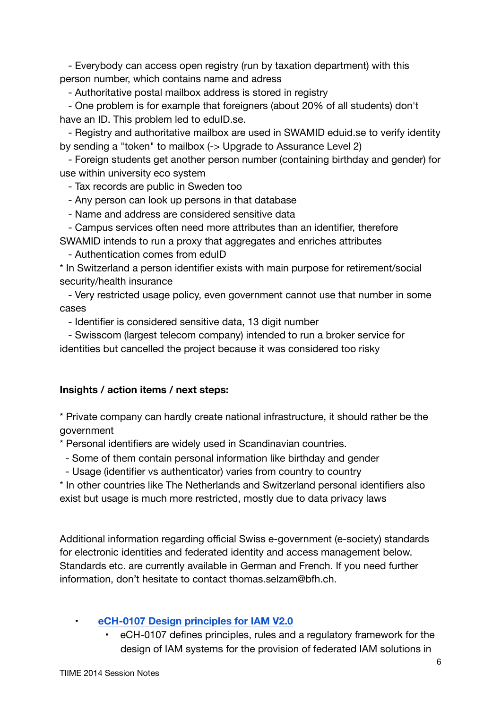- Everybody can access open registry (run by taxation department) with this person number, which contains name and adress

- Authoritative postal mailbox address is stored in registry

 - One problem is for example that foreigners (about 20% of all students) don't have an ID. This problem led to eduID.se.

 - Registry and authoritative mailbox are used in SWAMID eduid.se to verify identity by sending a "token" to mailbox (-> Upgrade to Assurance Level 2)

 - Foreign students get another person number (containing birthday and gender) for use within university eco system

- Tax records are public in Sweden too

- Any person can look up persons in that database

- Name and address are considered sensitive data

 - Campus services often need more attributes than an identifier, therefore SWAMID intends to run a proxy that aggregates and enriches attributes

- Authentication comes from eduID

\* In Switzerland a person identifier exists with main purpose for retirement/social security/health insurance

 - Very restricted usage policy, even government cannot use that number in some cases

- Identifier is considered sensitive data, 13 digit number

 - Swisscom (largest telecom company) intended to run a broker service for identities but cancelled the project because it was considered too risky

## **Insights / action items / next steps:**

\* Private company can hardly create national infrastructure, it should rather be the government

\* Personal identifiers are widely used in Scandinavian countries.

- Some of them contain personal information like birthday and gender

- Usage (identifier vs authenticator) varies from country to country

\* In other countries like The Netherlands and Switzerland personal identifiers also exist but usage is much more restricted, mostly due to data privacy laws

Additional information regarding official Swiss e-government (e-society) standards for electronic identities and federated identity and access management below. Standards etc. are currently available in German and French. If you need further information, don't hesitate to contact thomas.selzam@bfh.ch.

## • **[eCH-0107 Design principles for IAM V2.0](http://www.ech.ch/vechweb/page?p=dossier&documentNumber=eCH-0107&documentVersion=2.0)**

• eCH-0107 defines principles, rules and a regulatory framework for the design of IAM systems for the provision of federated IAM solutions in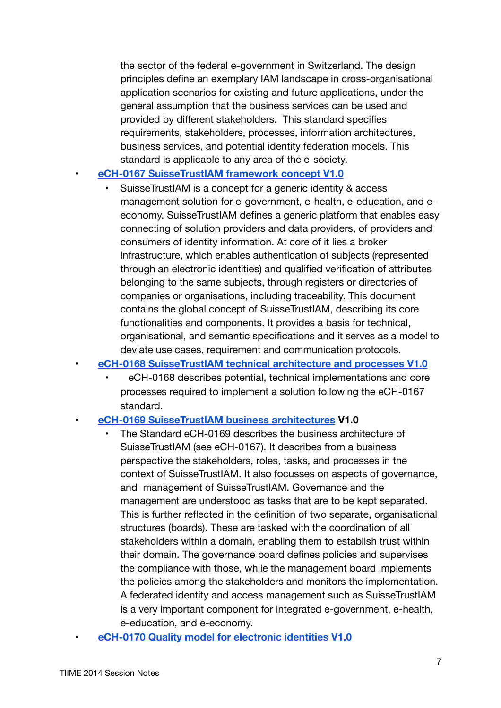the sector of the federal e-government in Switzerland. The design principles define an exemplary IAM landscape in cross-organisational application scenarios for existing and future applications, under the general assumption that the business services can be used and provided by different stakeholders. This standard specifies requirements, stakeholders, processes, information architectures, business services, and potential identity federation models. This standard is applicable to any area of the e-society.

#### • **[eCH-0167 SuisseTrustIAM framework concept V1.0](http://www.ech.ch/vechweb/page?p=dossier&documentNumber=eCH-0167&documentVersion=1.0)**

• SuisseTrustIAM is a concept for a generic identity & access management solution for e-government, e-health, e-education, and eeconomy. SuisseTrustIAM defines a generic platform that enables easy connecting of solution providers and data providers, of providers and consumers of identity information. At core of it lies a broker infrastructure, which enables authentication of subjects (represented through an electronic identities) and qualified verification of attributes belonging to the same subjects, through registers or directories of companies or organisations, including traceability. This document contains the global concept of SuisseTrustIAM, describing its core functionalities and components. It provides a basis for technical, organisational, and semantic specifications and it serves as a model to deviate use cases, requirement and communication protocols.

#### • **[eCH-0168 SuisseTrustIAM technical architecture and processes V1.0](http://www.ech.ch/vechweb/page?p=dossier&documentNumber=eCH-0168&documentVersion=1.0)**

• eCH-0168 describes potential, technical implementations and core processes required to implement a solution following the eCH-0167 standard.

#### • **[eCH-0169 SuisseTrustIAM business architectures](http://www.ech.ch/vechweb/page?p=dossier&documentNumber=eCH-0169&documentVersion=1.0) V1.0**

- The Standard eCH-0169 describes the business architecture of SuisseTrustIAM (see eCH-0167). It describes from a business perspective the stakeholders, roles, tasks, and processes in the context of SuisseTrustIAM. It also focusses on aspects of governance, and management of SuisseTrustIAM. Governance and the management are understood as tasks that are to be kept separated. This is further reflected in the definition of two separate, organisational structures (boards). These are tasked with the coordination of all stakeholders within a domain, enabling them to establish trust within their domain. The governance board defines policies and supervises the compliance with those, while the management board implements the policies among the stakeholders and monitors the implementation. A federated identity and access management such as SuisseTrustIAM is a very important component for integrated e-government, e-health, e-education, and e-economy.
- **[eCH-0170 Quality model for electronic identities V1.0](http://www.ech.ch/vechweb/page?p=dossier&documentNumber=eCH-0170&documentVersion=1.0)**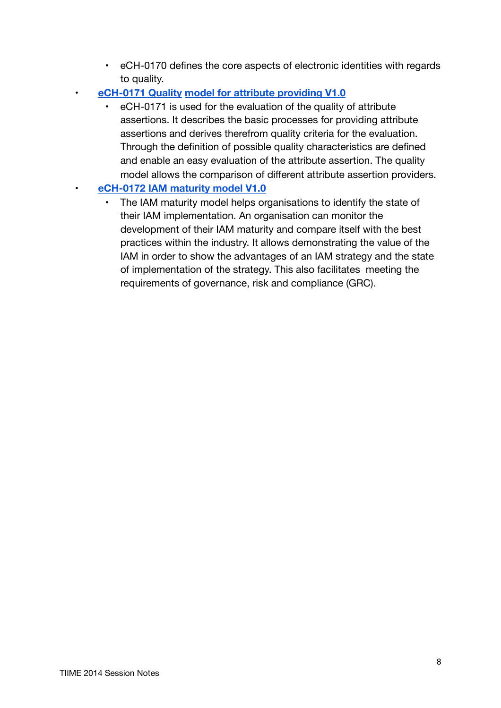- eCH-0170 defines the core aspects of electronic identities with regards to quality.
- **[eCH-0171 Quality](http://www.ech.ch/vechweb/page?p=dossier&documentNumber=eCH-0171&documentVersion=1.0) [model for attribute providing V1.0](http://www.ech.ch/vechweb/page?p=dossier&documentNumber=eCH-0171&documentVersion=1.0)**
	- eCH-0171 is used for the evaluation of the quality of attribute assertions. It describes the basic processes for providing attribute assertions and derives therefrom quality criteria for the evaluation. Through the definition of possible quality characteristics are defined and enable an easy evaluation of the attribute assertion. The quality model allows the comparison of different attribute assertion providers.

## • **[eCH-0172 IAM maturity model V1.0](http://www.ech.ch/vechweb/page?p=dossier&documentNumber=eCH-0172&documentVersion=V1.0)**

The IAM maturity model helps organisations to identify the state of their IAM implementation. An organisation can monitor the development of their IAM maturity and compare itself with the best practices within the industry. It allows demonstrating the value of the IAM in order to show the advantages of an IAM strategy and the state of implementation of the strategy. This also facilitates meeting the requirements of governance, risk and compliance (GRC).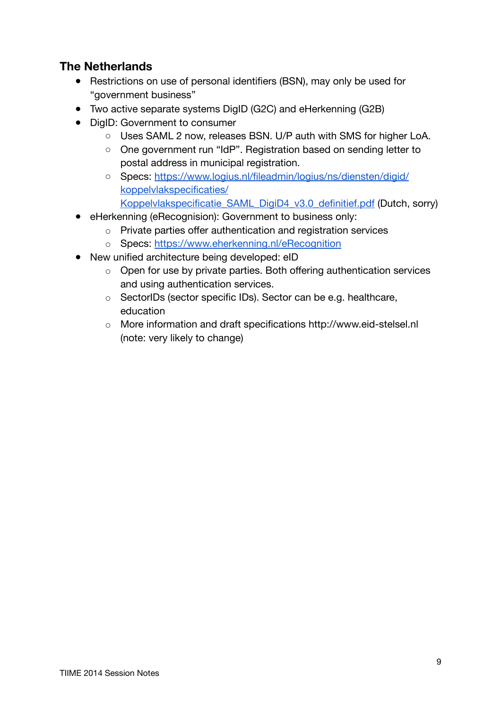## **The Netherlands**

- Restrictions on use of personal identifiers (BSN), may only be used for "government business"
- Two active separate systems DigID (G2C) and eHerkenning (G2B)
- DigID: Government to consumer
	- Uses SAML 2 now, releases BSN, U/P auth with SMS for higher LoA.
	- One government run "IdP". Registration based on sending letter to postal address in municipal registration.
	- Specs: [https://www.logius.nl/fileadmin/logius/ns/diensten/digid/](https://www.logius.nl/fileadmin/logius/ns/diensten/digid/koppelvlakspecificaties/Koppelvlakspecificatie_SAML_DigiD4_v3.0_definitief.pdf) [koppelvlakspecificaties/](https://www.logius.nl/fileadmin/logius/ns/diensten/digid/koppelvlakspecificaties/Koppelvlakspecificatie_SAML_DigiD4_v3.0_definitief.pdf) [Koppelvlakspecificatie\\_SAML\\_DigiD4\\_v3.0\\_definitief.pdf](https://www.logius.nl/fileadmin/logius/ns/diensten/digid/koppelvlakspecificaties/Koppelvlakspecificatie_SAML_DigiD4_v3.0_definitief.pdf) (Dutch, sorry)
- eHerkenning (eRecognision): Government to business only:
	- Private parties offer authentication and registration services
	- Specs:<https://www.eherkenning.nl/eRecognition>
- New unified architecture being developed: eID
	- Open for use by private parties. Both offering authentication services and using authentication services.
	- SectorIDs (sector specific IDs). Sector can be e.g. healthcare, education
	- More information and draft specifications http://www.eid-stelsel.nl (note: very likely to change)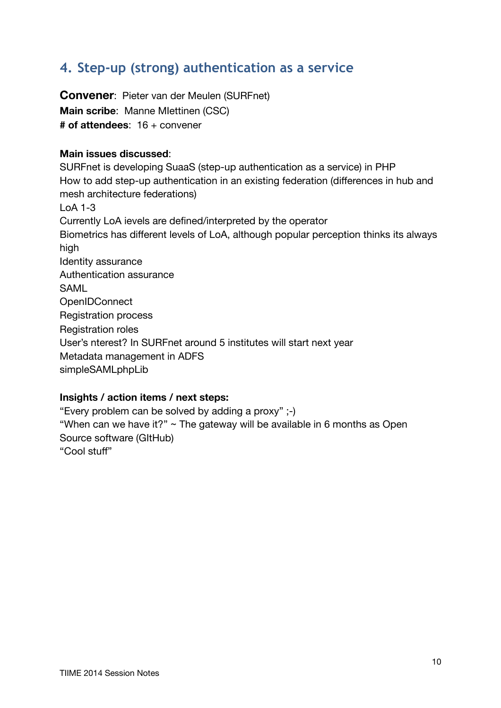# <span id="page-9-0"></span>**4. Step-up (strong) authentication as a service**

**Convener**: Pieter van der Meulen (SURFnet) **Main scribe**: Manne MIettinen (CSC) **# of attendees**: 16 + convener

### **Main issues discussed**:

SURFnet is developing SuaaS (step-up authentication as a service) in PHP How to add step-up authentication in an existing federation (differences in hub and mesh architecture federations) LoA 1-3 Currently LoA ievels are defined/interpreted by the operator Biometrics has different levels of LoA, although popular perception thinks its always high Identity assurance Authentication assurance SAML **OpenIDConnect** Registration process Registration roles User's nterest? In SURFnet around 5 institutes will start next year Metadata management in ADFS simpleSAMLphpLib

### **Insights / action items / next steps:**

"Every problem can be solved by adding a proxy" ;-) "When can we have it?"  $\sim$  The gateway will be available in 6 months as Open Source software (GItHub) "Cool stuff"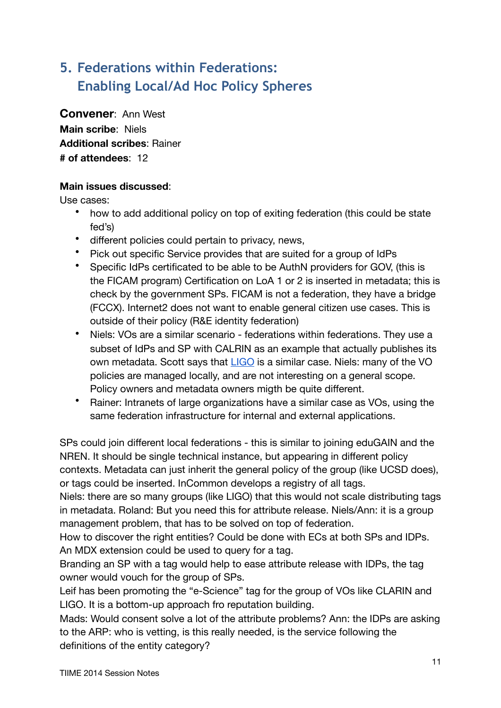# <span id="page-10-0"></span>**5. Federations within Federations: Enabling Local/Ad Hoc Policy Spheres**

**Convener**: Ann West **Main scribe**: Niels **Additional scribes**: Rainer **# of attendees**: 12

## **Main issues discussed**:

Use cases:

- how to add additional policy on top of exiting federation (this could be state fed's)
- different policies could pertain to privacy, news,
- Pick out specific Service provides that are suited for a group of IdPs
- Specific IdPs certificated to be able to be AuthN providers for GOV, (this is the FICAM program) Certification on LoA 1 or 2 is inserted in metadata; this is check by the government SPs. FICAM is not a federation, they have a bridge (FCCX). Internet2 does not want to enable general citizen use cases. This is outside of their policy (R&E identity federation)
- Niels: VOs are a similar scenario federations within federations. They use a subset of IdPs and SP with CALRIN as an example that actually publishes its own metadata. Scott says that **LIGO** is a similar case. Niels: many of the VO policies are managed locally, and are not interesting on a general scope. Policy owners and metadata owners migth be quite different.
- Rainer: Intranets of large organizations have a similar case as VOs, using the same federation infrastructure for internal and external applications.

SPs could join different local federations - this is similar to joining eduGAIN and the NREN. It should be single technical instance, but appearing in different policy contexts. Metadata can just inherit the general policy of the group (like UCSD does), or tags could be inserted. InCommon develops a registry of all tags.

Niels: there are so many groups (like LIGO) that this would not scale distributing tags in metadata. Roland: But you need this for attribute release. Niels/Ann: it is a group management problem, that has to be solved on top of federation.

How to discover the right entities? Could be done with ECs at both SPs and IDPs. An MDX extension could be used to query for a tag.

Branding an SP with a tag would help to ease attribute release with IDPs, the tag owner would vouch for the group of SPs.

Leif has been promoting the "e-Science" tag for the group of VOs like CLARIN and LIGO. It is a bottom-up approach fro reputation building.

Mads: Would consent solve a lot of the attribute problems? Ann: the IDPs are asking to the ARP: who is vetting, is this really needed, is the service following the definitions of the entity category?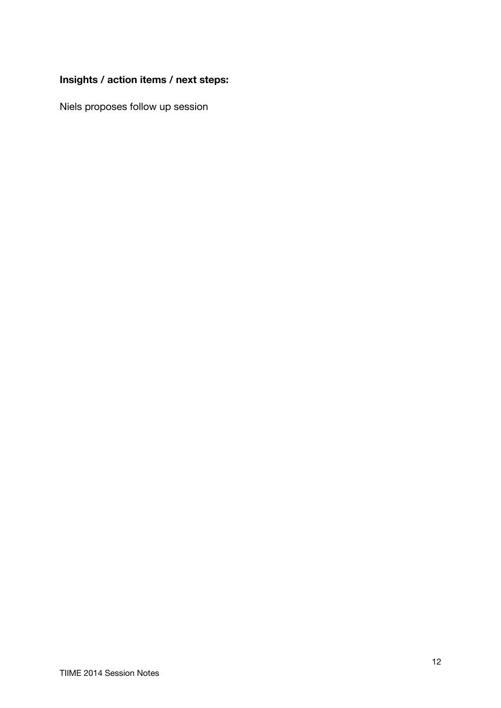## **Insights / action items / next steps:**

Niels proposes follow up session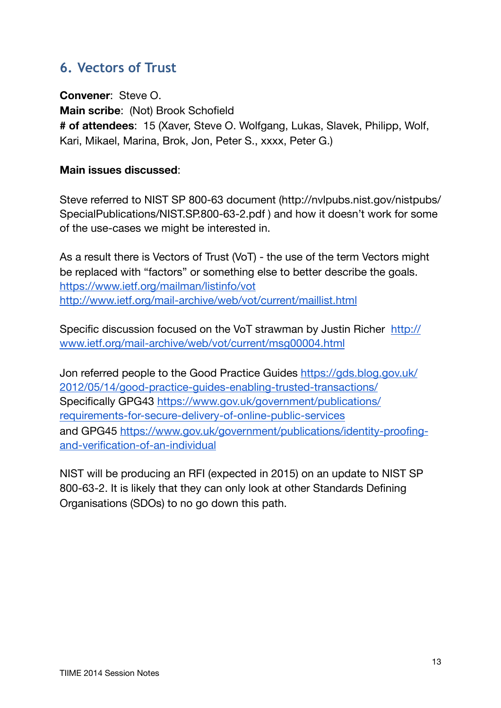## <span id="page-12-0"></span>**6. Vectors of Trust**

**Convener**: Steve O. **Main scribe**: (Not) Brook Schofield **# of attendees**: 15 (Xaver, Steve O. Wolfgang, Lukas, Slavek, Philipp, Wolf, Kari, Mikael, Marina, Brok, Jon, Peter S., xxxx, Peter G.)

## **Main issues discussed**:

Steve referred to NIST SP 800-63 document (http://nvlpubs.nist.gov/nistpubs/ SpecialPublications/NIST.SP.800-63-2.pdf ) and how it doesn't work for some of the use-cases we might be interested in.

As a result there is Vectors of Trust (VoT) - the use of the term Vectors might be replaced with "factors" or something else to better describe the goals. <https://www.ietf.org/mailman/listinfo/vot> <http://www.ietf.org/mail-archive/web/vot/current/maillist.html>

Specific discussion focused on the VoT strawman by Justin Richer [http://](http://www.ietf.org/mail-archive/web/vot/current/msg00004.html) [www.ietf.org/mail-archive/web/vot/current/msg00004.html](http://www.ietf.org/mail-archive/web/vot/current/msg00004.html)

Jon referred people to the Good Practice Guides [https://gds.blog.gov.uk/](https://gds.blog.gov.uk/2012/05/14/good-practice-guides-enabling-trusted-transactions/) [2012/05/14/good-practice-guides-enabling-trusted-transactions/](https://gds.blog.gov.uk/2012/05/14/good-practice-guides-enabling-trusted-transactions/) Specifically GPG43 [https://www.gov.uk/government/publications/](https://www.gov.uk/government/publications/requirements-for-secure-delivery-of-online-public-services) [requirements-for-secure-delivery-of-online-public-services](https://www.gov.uk/government/publications/requirements-for-secure-delivery-of-online-public-services) and GPG45 [https://www.gov.uk/government/publications/identity-proofing](https://www.gov.uk/government/publications/identity-proofing-and-verification-of-an-individual)[and-verification-of-an-individual](https://www.gov.uk/government/publications/identity-proofing-and-verification-of-an-individual)

NIST will be producing an RFI (expected in 2015) on an update to NIST SP 800-63-2. It is likely that they can only look at other Standards Defining Organisations (SDOs) to no go down this path.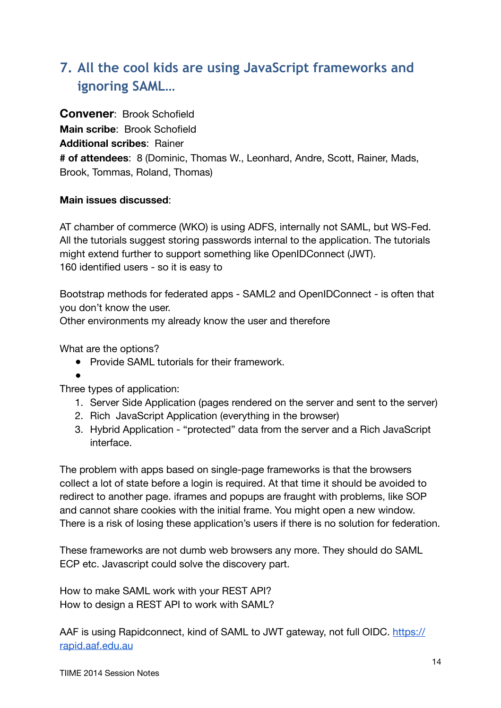# <span id="page-13-0"></span>**7. All the cool kids are using JavaScript frameworks and ignoring SAML…**

**Convener**: Brook Schofield **Main scribe**: Brook Schofield **Additional scribes**: Rainer **# of attendees**: 8 (Dominic, Thomas W., Leonhard, Andre, Scott, Rainer, Mads, Brook, Tommas, Roland, Thomas)

### **Main issues discussed**:

AT chamber of commerce (WKO) is using ADFS, internally not SAML, but WS-Fed. All the tutorials suggest storing passwords internal to the application. The tutorials might extend further to support something like OpenIDConnect (JWT). 160 identified users - so it is easy to

Bootstrap methods for federated apps - SAML2 and OpenIDConnect - is often that you don't know the user.

Other environments my already know the user and therefore

What are the options?

● Provide SAML tutorials for their framework.

 $\bullet$ 

Three types of application:

- 1. Server Side Application (pages rendered on the server and sent to the server)
- 2. Rich JavaScript Application (everything in the browser)
- 3. Hybrid Application "protected" data from the server and a Rich JavaScript interface.

The problem with apps based on single-page frameworks is that the browsers collect a lot of state before a login is required. At that time it should be avoided to redirect to another page. iframes and popups are fraught with problems, like SOP and cannot share cookies with the initial frame. You might open a new window. There is a risk of losing these application's users if there is no solution for federation.

These frameworks are not dumb web browsers any more. They should do SAML ECP etc. Javascript could solve the discovery part.

How to make SAML work with your REST API? How to design a REST API to work with SAML?

AAF is using Rapidconnect, kind of SAML to JWT gateway, not full OIDC, [https://](https://rapid.aaf.edu.au) [rapid.aaf.edu.au](https://rapid.aaf.edu.au)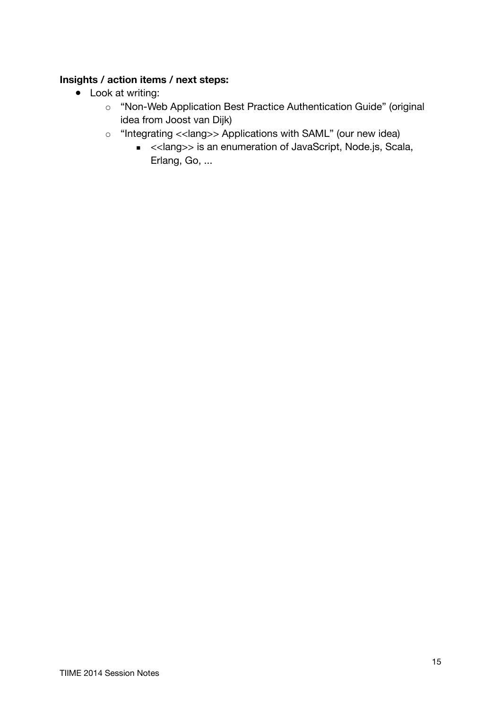## **Insights / action items / next steps:**

- Look at writing:
	- o "Non-Web Application Best Practice Authentication Guide" (original idea from Joost van Dijk)
	- "Integrating <<lang>> Applications with SAML" (our new idea)
		- <<lang>> is an enumeration of JavaScript, Node.js, Scala, Erlang, Go, ...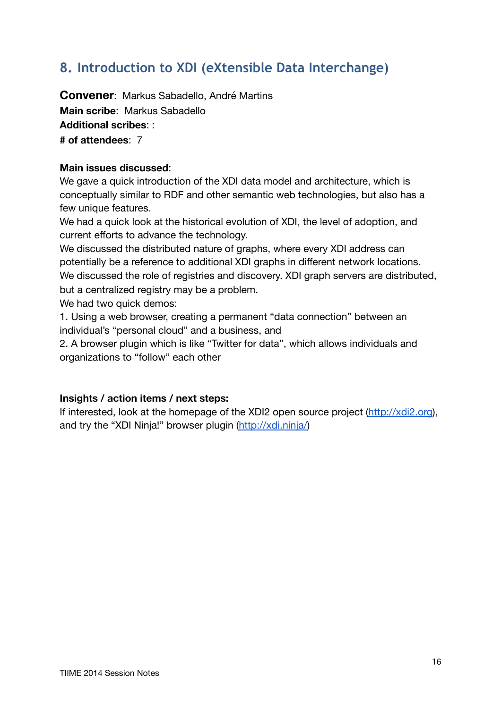# <span id="page-15-0"></span>**8. Introduction to XDI (eXtensible Data Interchange)**

**Convener**: Markus Sabadello, André Martins **Main scribe**: Markus Sabadello **Additional scribes**: : **# of attendees**: 7

#### **Main issues discussed**:

We gave a quick introduction of the XDI data model and architecture, which is conceptually similar to RDF and other semantic web technologies, but also has a few unique features.

We had a quick look at the historical evolution of XDI, the level of adoption, and current efforts to advance the technology.

We discussed the distributed nature of graphs, where every XDI address can potentially be a reference to additional XDI graphs in different network locations. We discussed the role of registries and discovery. XDI graph servers are distributed, but a centralized registry may be a problem.

We had two quick demos:

1. Using a web browser, creating a permanent "data connection" between an individual's "personal cloud" and a business, and

2. A browser plugin which is like "Twitter for data", which allows individuals and organizations to "follow" each other

#### **Insights / action items / next steps:**

If interested, look at the homepage of the XDI2 open source project [\(http://xdi2.org\)](http://xdi2.org), and try the "XDI Ninja!" browser plugin ([http://xdi.ninja/\)](http://xdi.ninja/)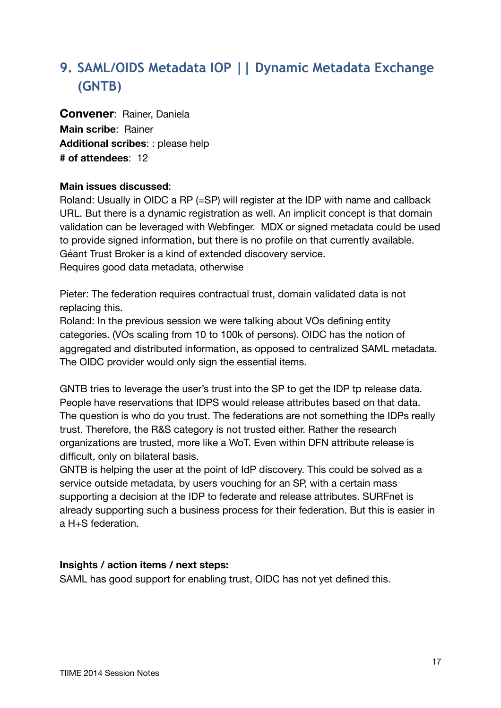# <span id="page-16-0"></span>**9. SAML/OIDS Metadata IOP || Dynamic Metadata Exchange (GNTB)**

**Convener**: Rainer, Daniela **Main scribe**: Rainer **Additional scribes**: : please help **# of attendees**: 12

### **Main issues discussed**:

Roland: Usually in OIDC a RP (=SP) will register at the IDP with name and callback URL. But there is a dynamic registration as well. An implicit concept is that domain validation can be leveraged with Webfinger. MDX or signed metadata could be used to provide signed information, but there is no profile on that currently available. Géant Trust Broker is a kind of extended discovery service. Requires good data metadata, otherwise

Pieter: The federation requires contractual trust, domain validated data is not replacing this.

Roland: In the previous session we were talking about VOs defining entity categories. (VOs scaling from 10 to 100k of persons). OIDC has the notion of aggregated and distributed information, as opposed to centralized SAML metadata. The OIDC provider would only sign the essential items.

GNTB tries to leverage the user's trust into the SP to get the IDP tp release data. People have reservations that IDPS would release attributes based on that data. The question is who do you trust. The federations are not something the IDPs really trust. Therefore, the R&S category is not trusted either. Rather the research organizations are trusted, more like a WoT. Even within DFN attribute release is difficult, only on bilateral basis.

GNTB is helping the user at the point of IdP discovery. This could be solved as a service outside metadata, by users vouching for an SP, with a certain mass supporting a decision at the IDP to federate and release attributes. SURFnet is already supporting such a business process for their federation. But this is easier in a H+S federation.

#### **Insights / action items / next steps:**

SAML has good support for enabling trust, OIDC has not yet defined this.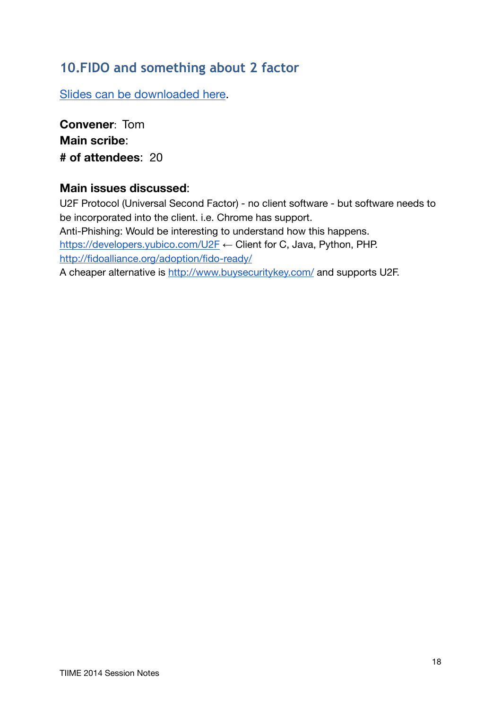## <span id="page-17-0"></span>**10.FIDO and something about 2 factor**

[Slides can be downloaded here](http://identityworkshop.eu/ewti2014/u2f-presentation-30minutes.pdf).

**Convener**: Tom **Main scribe**: **# of attendees**: 20

## **Main issues discussed**:

U2F Protocol (Universal Second Factor) - no client software - but software needs to be incorporated into the client. i.e. Chrome has support. Anti-Phishing: Would be interesting to understand how this happens. <https://developers.yubico.com/U2F> ← Client for C, Java, Python, PHP. <http://fidoalliance.org/adoption/fido-ready/> A cheaper alternative is <http://www.buysecuritykey.com/> and supports U2F.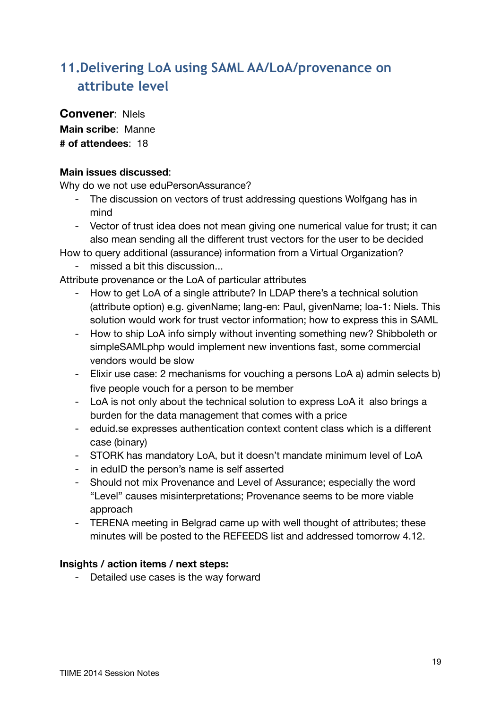# <span id="page-18-0"></span>**11.Delivering LoA using SAML AA/LoA/provenance on attribute level**

**Convener**: NIels

**Main scribe**: Manne **# of attendees**: 18

### **Main issues discussed**:

Why do we not use eduPersonAssurance?

- The discussion on vectors of trust addressing questions Wolfgang has in mind
- Vector of trust idea does not mean giving one numerical value for trust; it can also mean sending all the different trust vectors for the user to be decided

How to query additional (assurance) information from a Virtual Organization?

- missed a bit this discussion...

Attribute provenance or the LoA of particular attributes

- How to get LoA of a single attribute? In LDAP there's a technical solution (attribute option) e.g. givenName; lang-en: Paul, givenName; loa-1: Niels. This solution would work for trust vector information; how to express this in SAML
- How to ship LoA info simply without inventing something new? Shibboleth or simpleSAMLphp would implement new inventions fast, some commercial vendors would be slow
- Elixir use case: 2 mechanisms for vouching a persons LoA a) admin selects b) five people vouch for a person to be member
- LoA is not only about the technical solution to express LoA it also brings a burden for the data management that comes with a price
- eduid.se expresses authentication context content class which is a different case (binary)
- STORK has mandatory LoA, but it doesn't mandate minimum level of LoA
- in eduID the person's name is self asserted
- Should not mix Provenance and Level of Assurance; especially the word "Level" causes misinterpretations; Provenance seems to be more viable approach
- TERENA meeting in Belgrad came up with well thought of attributes; these minutes will be posted to the REFEEDS list and addressed tomorrow 4.12.

### **Insights / action items / next steps:**

- Detailed use cases is the way forward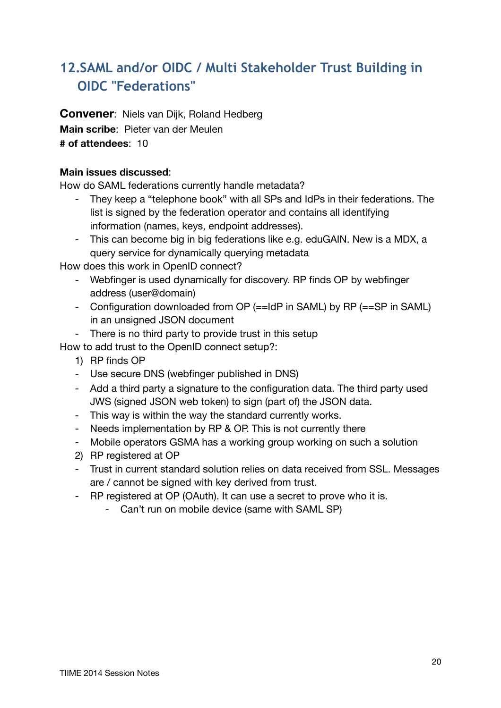# <span id="page-19-0"></span>**12.SAML and/or OIDC / Multi Stakeholder Trust Building in OIDC "Federations"**

**Convener**: Niels van Dijk, Roland Hedberg **Main scribe**: Pieter van der Meulen **# of attendees**: 10

### **Main issues discussed**:

How do SAML federations currently handle metadata?

- They keep a "telephone book" with all SPs and IdPs in their federations. The list is signed by the federation operator and contains all identifying information (names, keys, endpoint addresses).
- This can become big in big federations like e.g. eduGAIN. New is a MDX, a query service for dynamically querying metadata

How does this work in OpenID connect?

- Webfinger is used dynamically for discovery. RP finds OP by webfinger address (user@domain)
- Configuration downloaded from OP (==IdP in SAML) by RP (==SP in SAML) in an unsigned JSON document
- There is no third party to provide trust in this setup

How to add trust to the OpenID connect setup?:

- 1) RP finds OP
- Use secure DNS (webfinger published in DNS)
- Add a third party a signature to the configuration data. The third party used JWS (signed JSON web token) to sign (part of) the JSON data.
- This way is within the way the standard currently works.
- Needs implementation by RP & OP. This is not currently there
- Mobile operators GSMA has a working group working on such a solution
- 2) RP registered at OP
- Trust in current standard solution relies on data received from SSL. Messages are / cannot be signed with key derived from trust.
- RP registered at OP (OAuth). It can use a secret to prove who it is.
	- Can't run on mobile device (same with SAML SP)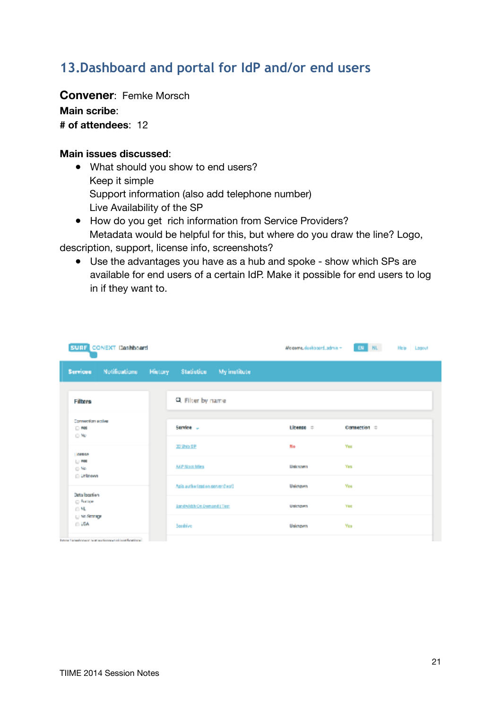# <span id="page-20-0"></span>**13.Dashboard and portal for IdP and/or end users**

**Convener**: Femke Morsch

**Main scribe**:

**# of attendees**: 12

#### **Main issues discussed**:

- What should you show to end users? Keep it simple Support information (also add telephone number) Live Availability of the SP
- How do you get rich information from Service Providers? Metadata would be helpful for this, but where do you draw the line? Logo,

description, support, license info, screenshots?

● Use the advantages you have as a hub and spoke - show which SPs are available for end users of a certain IdP. Make it possible for end users to log in if they want to.

| <b>SURF CONEXT Dashboard</b>                                                 |                                           |           | <b>EN NL</b><br>Weigerre, deskiboard_admin ~ | Help Lagout |
|------------------------------------------------------------------------------|-------------------------------------------|-----------|----------------------------------------------|-------------|
| Notifications<br><b>Services</b>                                             | <b>History</b><br>Statistics My institute |           |                                              |             |
| Filters                                                                      | Q. Filter by name                         |           |                                              |             |
| Connection scales<br>$-100$<br>$\odot$ No                                    | Service -                                 | Lineage = | Connection =                                 |             |
| 近畿県松井                                                                        | 国連の部                                      | No        | <b>Yes</b>                                   |             |
| $  -$<br>$\odot$ No.                                                         | <b>AAP Nock Mins</b>                      | Unknown   | Yes                                          |             |
| <b>Linknown</b>                                                              | Agis authorization server (test)          | Usknown   | <b>Yes</b>                                   |             |
| Deta location<br>C hange<br>$\Box$ ML                                        | <b>Ignetwich On Demand I Test</b>         | Usknown   | Yes                                          |             |
| Li No Strange<br>0.54                                                        | <b>Seedrive</b>                           | Unimoven  | Yes                                          |             |
| the contract the contract of the contract of the contract of the contract of |                                           |           |                                              |             |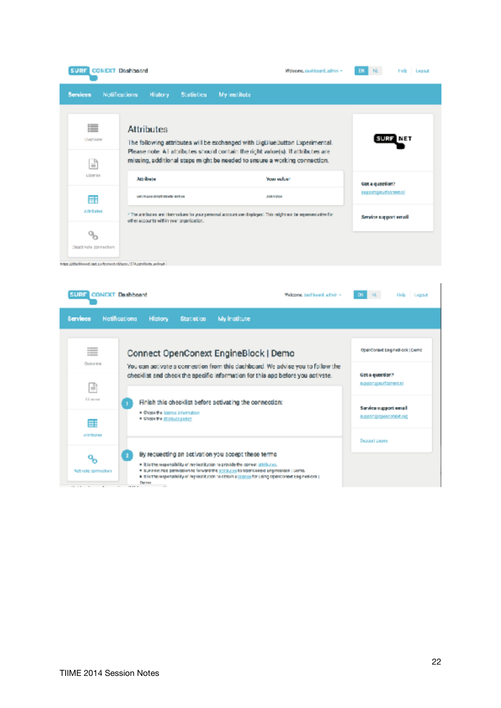| <b>SURF CONEXT Doshboard</b>                                 |                                                                                                                                                                                                                                                                                                                                                                                                                                                    |            | Welcome, dashboard_admin ~ | EN<br>н. | Legout<br>Hele |
|--------------------------------------------------------------|----------------------------------------------------------------------------------------------------------------------------------------------------------------------------------------------------------------------------------------------------------------------------------------------------------------------------------------------------------------------------------------------------------------------------------------------------|------------|----------------------------|----------|----------------|
| <b>Services</b>                                              | <b>History</b>                                                                                                                                                                                                                                                                                                                                                                                                                                     |            | <b>My institute</b>        |          |                |
| 這<br><b>UNITARIN</b><br>F                                    | <b>Attributes</b>                                                                                                                                                                                                                                                                                                                                                                                                                                  |            |                            |          | NET            |
| Liber e+                                                     | <b>Attribute</b>                                                                                                                                                                                                                                                                                                                                                                                                                                   |            | Your value!                |          |                |
| 冊                                                            |                                                                                                                                                                                                                                                                                                                                                                                                                                                    |            | J08/10N+                   |          |                |
| <b>Admitsubed</b>                                            | * The articlastics and their values for your personal account are displayed. This might not be representative for<br>other accounts within your promication.                                                                                                                                                                                                                                                                                       |            | Service support email      |          |                |
| $\mathbf{Q}_{\mathbf{S}}$<br>Dead vala connection            | Notifications<br><b>Statistics</b><br>The following attributes will be exchanged with BigBlueButton Experimental.<br>Please note: All attributes should contain the right value(s). If attributes are<br>missing, additional staps might be needed to ensure a working connection.<br>Cot a question?<br>support groundsomers.ni<br>UNIVADOR/ENTABWW-BrEck<br><b>CONEXT Deshboard</b><br>Welcome, deshboard, admin. -<br>NL.<br>DN.<br>Help Loggut |            |                            |          |                |
| https://dishbood.iast.subconect.nl/apps/174.jathRets.policyk |                                                                                                                                                                                                                                                                                                                                                                                                                                                    |            |                            |          |                |
| <b>SURF</b>                                                  |                                                                                                                                                                                                                                                                                                                                                                                                                                                    |            |                            |          |                |
| Services                                                     | <b>Natifications</b><br>History                                                                                                                                                                                                                                                                                                                                                                                                                    | Statistics | My institute               |          |                |
|                                                              |                                                                                                                                                                                                                                                                                                                                                                                                                                                    |            |                            |          |                |

|                           | A STATE TO A STATE A STATE OF THE STATE AND A STATE OF A STATE OF A STATE OF A STATE OF A STATE OF A STATE OF                                                                                                                                                                                                                                                           |                                                  |
|---------------------------|-------------------------------------------------------------------------------------------------------------------------------------------------------------------------------------------------------------------------------------------------------------------------------------------------------------------------------------------------------------------------|--------------------------------------------------|
| ≣                         | Connect OpenConext EngineBlock   Demo                                                                                                                                                                                                                                                                                                                                   | OpenConaxt Engines ock   Demo                    |
| Overview<br>F             | You can activate a connection from this dachboard. We advise you to follow the<br>checklist and check the specific information for this app before you activate.                                                                                                                                                                                                        | Oct a question?<br>B.000" (in France Ltd.        |
| <b>Linear</b>             | Finish this checklist before activating the connection:<br>· Creak the license information<br>. Chees the Standale Entry                                                                                                                                                                                                                                                | Service support email<br>SUSPONSOCIARO OTHOR ORD |
| Æ<br><b>Artribunes</b>    |                                                                                                                                                                                                                                                                                                                                                                         | Sepport papers                                   |
| ą,<br>Activate connection | By requesting an activation you accept these terms.<br>. It is the responsibility of ny institution to provide the correct stitibutes.<br>. # SUFPIRATION permission to forward the statistics to OpenConext Enginesiate. (Dema.)<br>· It is the responsibility of my institution to obtain a license for using OpenConext Engines onk (<br>Derman<br>$\sim$<br>1919 11 |                                                  |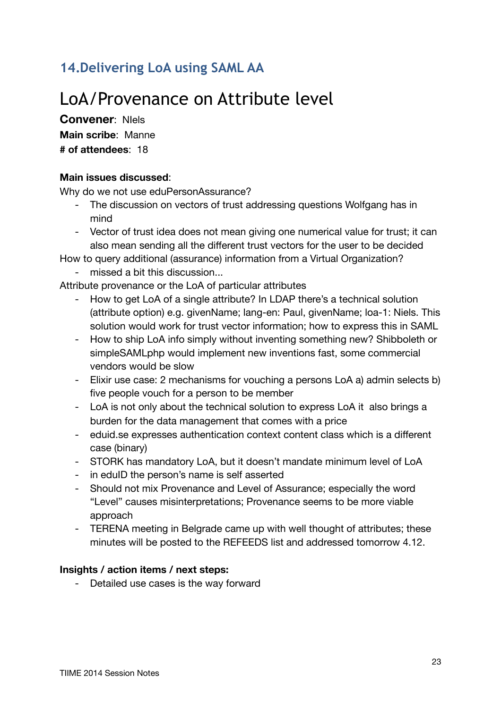# <span id="page-22-0"></span>**14.Delivering LoA using SAML AA**

# LoA/Provenance on Attribute level

**Convener**: NIels **Main scribe**: Manne **# of attendees**: 18

### **Main issues discussed**:

Why do we not use eduPersonAssurance?

- The discussion on vectors of trust addressing questions Wolfgang has in mind
- Vector of trust idea does not mean giving one numerical value for trust; it can also mean sending all the different trust vectors for the user to be decided

How to query additional (assurance) information from a Virtual Organization?

- missed a bit this discussion...

Attribute provenance or the LoA of particular attributes

- How to get LoA of a single attribute? In LDAP there's a technical solution (attribute option) e.g. givenName; lang-en: Paul, givenName; loa-1: Niels. This solution would work for trust vector information; how to express this in SAML
- How to ship LoA info simply without inventing something new? Shibboleth or simpleSAMLphp would implement new inventions fast, some commercial vendors would be slow
- Elixir use case: 2 mechanisms for vouching a persons LoA a) admin selects b) five people vouch for a person to be member
- LoA is not only about the technical solution to express LoA it also brings a burden for the data management that comes with a price
- eduid.se expresses authentication context content class which is a different case (binary)
- STORK has mandatory LoA, but it doesn't mandate minimum level of LoA
- in eduID the person's name is self asserted
- Should not mix Provenance and Level of Assurance; especially the word "Level" causes misinterpretations; Provenance seems to be more viable approach
- TERENA meeting in Belgrade came up with well thought of attributes; these minutes will be posted to the REFEEDS list and addressed tomorrow 4.12.

### **Insights / action items / next steps:**

- Detailed use cases is the way forward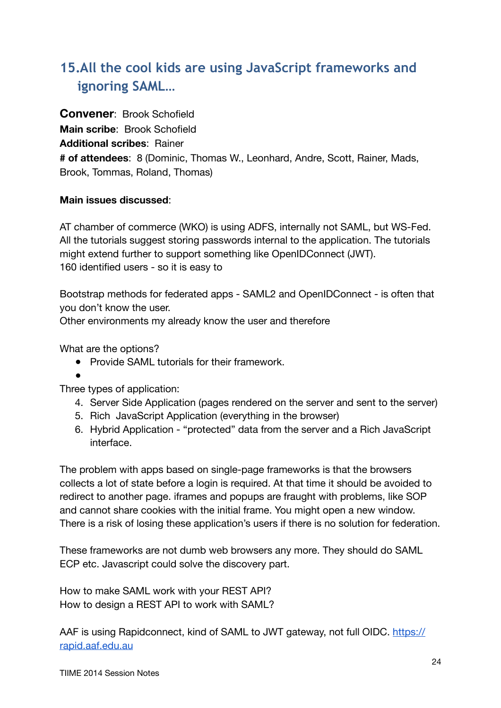# <span id="page-23-0"></span>**15.All the cool kids are using JavaScript frameworks and ignoring SAML…**

**Convener**: Brook Schofield **Main scribe**: Brook Schofield **Additional scribes**: Rainer **# of attendees**: 8 (Dominic, Thomas W., Leonhard, Andre, Scott, Rainer, Mads, Brook, Tommas, Roland, Thomas)

### **Main issues discussed**:

AT chamber of commerce (WKO) is using ADFS, internally not SAML, but WS-Fed. All the tutorials suggest storing passwords internal to the application. The tutorials might extend further to support something like OpenIDConnect (JWT). 160 identified users - so it is easy to

Bootstrap methods for federated apps - SAML2 and OpenIDConnect - is often that you don't know the user.

Other environments my already know the user and therefore

What are the options?

● Provide SAML tutorials for their framework.

 $\bullet$ 

Three types of application:

- 4. Server Side Application (pages rendered on the server and sent to the server)
- 5. Rich JavaScript Application (everything in the browser)
- 6. Hybrid Application "protected" data from the server and a Rich JavaScript interface.

The problem with apps based on single-page frameworks is that the browsers collects a lot of state before a login is required. At that time it should be avoided to redirect to another page. iframes and popups are fraught with problems, like SOP and cannot share cookies with the initial frame. You might open a new window. There is a risk of losing these application's users if there is no solution for federation.

These frameworks are not dumb web browsers any more. They should do SAML ECP etc. Javascript could solve the discovery part.

How to make SAML work with your REST API? How to design a REST API to work with SAML?

AAF is using Rapidconnect, kind of SAML to JWT gateway, not full OIDC. [https://](https://rapid.aaf.edu.au) [rapid.aaf.edu.au](https://rapid.aaf.edu.au)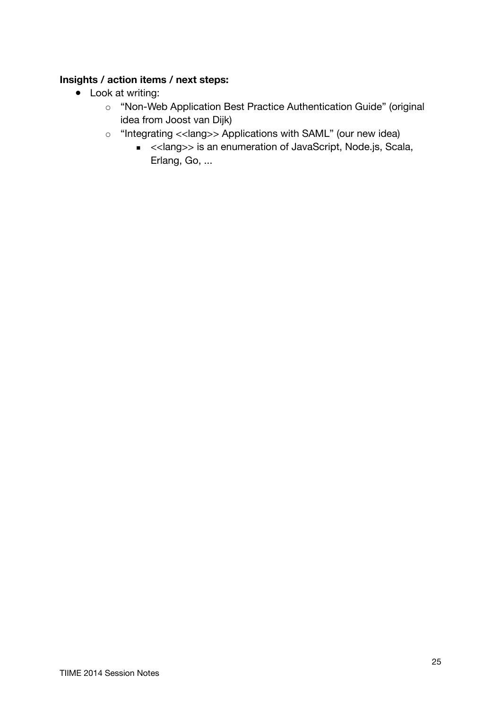## **Insights / action items / next steps:**

- Look at writing:
	- o "Non-Web Application Best Practice Authentication Guide" (original idea from Joost van Dijk)
	- "Integrating <<lang>> Applications with SAML" (our new idea)
		- <<lang>> is an enumeration of JavaScript, Node.js, Scala, Erlang, Go, ...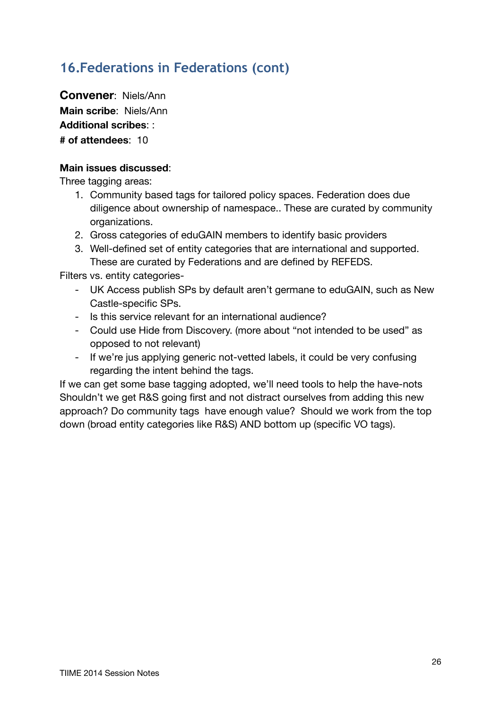# <span id="page-25-0"></span>**16.Federations in Federations (cont)**

**Convener**: Niels/Ann **Main scribe**: Niels/Ann **Additional scribes**: : **# of attendees**: 10

### **Main issues discussed**:

Three tagging areas:

- 1. Community based tags for tailored policy spaces. Federation does due diligence about ownership of namespace.. These are curated by community organizations.
- 2. Gross categories of eduGAIN members to identify basic providers
- 3. Well-defined set of entity categories that are international and supported. These are curated by Federations and are defined by REFEDS.

Filters vs. entity categories-

- UK Access publish SPs by default aren't germane to eduGAIN, such as New Castle-specific SPs.
- Is this service relevant for an international audience?
- Could use Hide from Discovery. (more about "not intended to be used" as opposed to not relevant)
- If we're jus applying generic not-vetted labels, it could be very confusing regarding the intent behind the tags.

If we can get some base tagging adopted, we'll need tools to help the have-nots Shouldn't we get R&S going first and not distract ourselves from adding this new approach? Do community tags have enough value? Should we work from the top down (broad entity categories like R&S) AND bottom up (specific VO tags).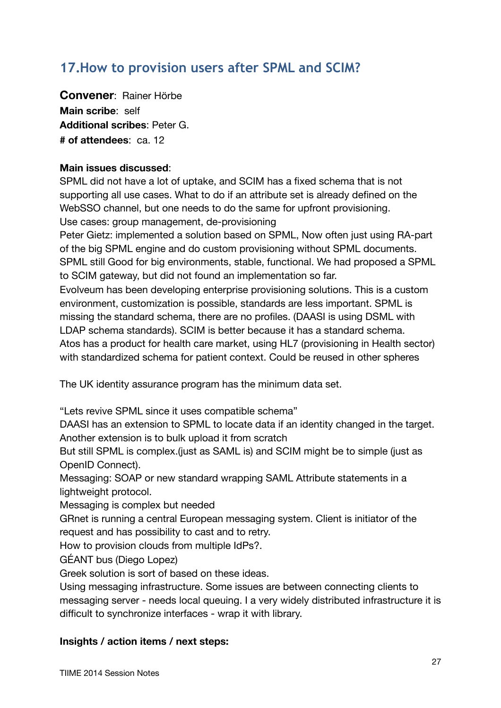# <span id="page-26-0"></span>**17.How to provision users after SPML and SCIM?**

**Convener**: Rainer Hörbe **Main scribe**: self **Additional scribes**: Peter G. **# of attendees**: ca. 12

### **Main issues discussed**:

SPML did not have a lot of uptake, and SCIM has a fixed schema that is not supporting all use cases. What to do if an attribute set is already defined on the WebSSO channel, but one needs to do the same for upfront provisioning. Use cases: group management, de-provisioning

Peter Gietz: implemented a solution based on SPML, Now often just using RA-part of the big SPML engine and do custom provisioning without SPML documents. SPML still Good for big environments, stable, functional. We had proposed a SPML to SCIM gateway, but did not found an implementation so far.

Evolveum has been developing enterprise provisioning solutions. This is a custom environment, customization is possible, standards are less important. SPML is missing the standard schema, there are no profiles. (DAASI is using DSML with LDAP schema standards). SCIM is better because it has a standard schema. Atos has a product for health care market, using HL7 (provisioning in Health sector) with standardized schema for patient context. Could be reused in other spheres

The UK identity assurance program has the minimum data set.

"Lets revive SPML since it uses compatible schema"

DAASI has an extension to SPML to locate data if an identity changed in the target. Another extension is to bulk upload it from scratch

But still SPML is complex.(just as SAML is) and SCIM might be to simple (just as OpenID Connect).

Messaging: SOAP or new standard wrapping SAML Attribute statements in a lightweight protocol.

Messaging is complex but needed

GRnet is running a central European messaging system. Client is initiator of the request and has possibility to cast and to retry.

How to provision clouds from multiple IdPs?.

GÉANT bus (Diego Lopez)

Greek solution is sort of based on these ideas.

Using messaging infrastructure. Some issues are between connecting clients to messaging server - needs local queuing. I a very widely distributed infrastructure it is difficult to synchronize interfaces - wrap it with library.

### **Insights / action items / next steps:**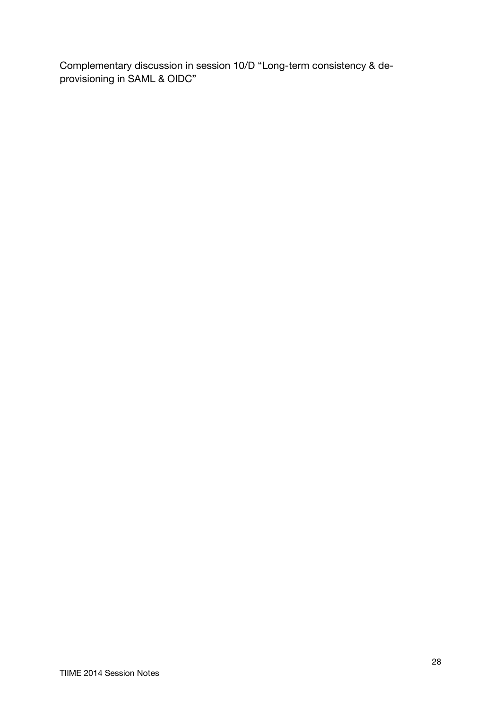Complementary discussion in session 10/D "Long-term consistency & deprovisioning in SAML & OIDC"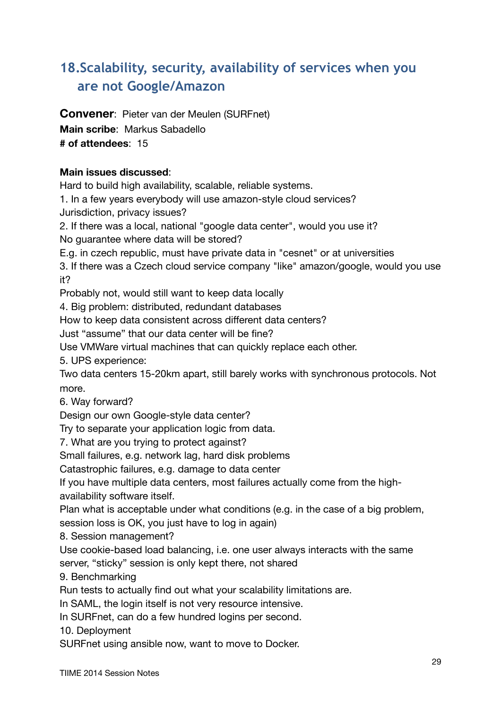# <span id="page-28-0"></span>**18.Scalability, security, availability of services when you are not Google/Amazon**

**Convener**: Pieter van der Meulen (SURFnet) **Main scribe**: Markus Sabadello

**# of attendees**: 15

## **Main issues discussed**:

Hard to build high availability, scalable, reliable systems.

1. In a few years everybody will use amazon-style cloud services?

Jurisdiction, privacy issues?

2. If there was a local, national "google data center", would you use it? No guarantee where data will be stored?

E.g. in czech republic, must have private data in "cesnet" or at universities

3. If there was a Czech cloud service company "like" amazon/google, would you use it?

Probably not, would still want to keep data locally

4. Big problem: distributed, redundant databases

How to keep data consistent across different data centers?

Just "assume" that our data center will be fine?

Use VMWare virtual machines that can quickly replace each other.

5. UPS experience:

Two data centers 15-20km apart, still barely works with synchronous protocols. Not more.

6. Way forward?

Design our own Google-style data center?

Try to separate your application logic from data.

7. What are you trying to protect against?

Small failures, e.g. network lag, hard disk problems

Catastrophic failures, e.g. damage to data center

If you have multiple data centers, most failures actually come from the highavailability software itself.

Plan what is acceptable under what conditions (e.g. in the case of a big problem, session loss is OK, you just have to log in again)

8. Session management?

Use cookie-based load balancing, i.e. one user always interacts with the same server, "sticky" session is only kept there, not shared

9. Benchmarking

Run tests to actually find out what your scalability limitations are.

In SAML, the login itself is not very resource intensive.

In SURFnet, can do a few hundred logins per second.

10. Deployment

SURFnet using ansible now, want to move to Docker.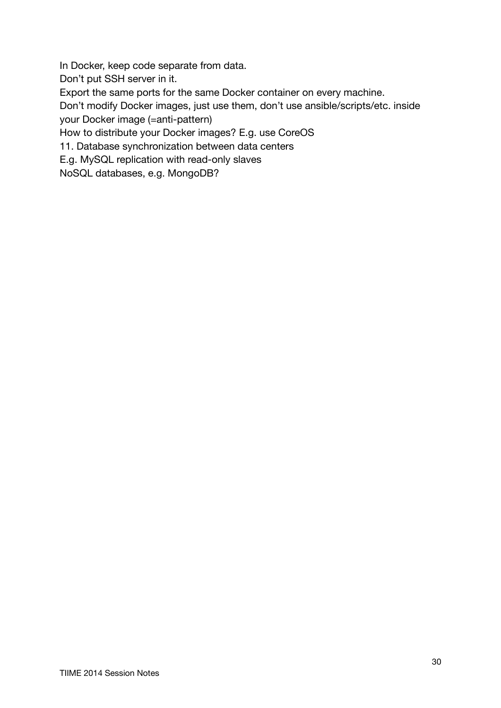In Docker, keep code separate from data.

Don't put SSH server in it.

Export the same ports for the same Docker container on every machine.

Don't modify Docker images, just use them, don't use ansible/scripts/etc. inside your Docker image (=anti-pattern)

How to distribute your Docker images? E.g. use CoreOS

11. Database synchronization between data centers

E.g. MySQL replication with read-only slaves

NoSQL databases, e.g. MongoDB?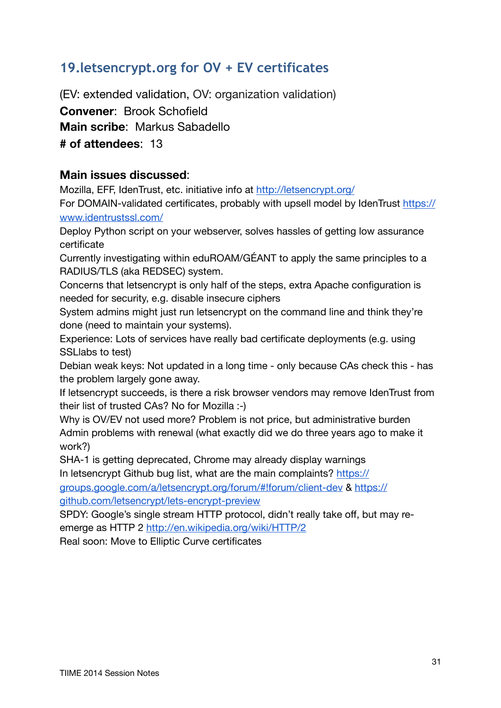# <span id="page-30-0"></span>**19.letsencrypt.org for OV + EV certificates**

(EV: extended validation, OV: organization validation) **Convener**: Brook Schofield **Main scribe**: Markus Sabadello **# of attendees**: 13

## **Main issues discussed**:

Mozilla, EFF, IdenTrust, etc. initiative info at<http://letsencrypt.org/>

For DOMAIN-validated certificates, probably with upsell model by IdenTrust [https://](https://www.identrustssl.com/) [www.identrustssl.com/](https://www.identrustssl.com/)

Deploy Python script on your webserver, solves hassles of getting low assurance certificate

Currently investigating within eduROAM/GÉANT to apply the same principles to a RADIUS/TLS (aka REDSEC) system.

Concerns that letsencrypt is only half of the steps, extra Apache configuration is needed for security, e.g. disable insecure ciphers

System admins might just run letsencrypt on the command line and think they're done (need to maintain your systems).

Experience: Lots of services have really bad certificate deployments (e.g. using SSLlabs to test)

Debian weak keys: Not updated in a long time - only because CAs check this - has the problem largely gone away.

If letsencrypt succeeds, is there a risk browser vendors may remove IdenTrust from their list of trusted CAs? No for Mozilla :-)

Why is OV/EV not used more? Problem is not price, but administrative burden Admin problems with renewal (what exactly did we do three years ago to make it work?)

SHA-1 is getting deprecated, Chrome may already display warnings In letsencrypt Github bug list, what are the main complaints? [https://](https://groups.google.com/a/letsencrypt.org/forum/#!forum/client-dev)

[groups.google.com/a/letsencrypt.org/forum/#!forum/client-dev &](https://groups.google.com/a/letsencrypt.org/forum/#!forum/client-dev) [https://](https://github.com/letsencrypt/lets-encrypt-preview) [github.com/letsencrypt/lets-encrypt-preview](https://github.com/letsencrypt/lets-encrypt-preview)

SPDY: Google's single stream HTTP protocol, didn't really take off, but may reemerge as HTTP 2 <http://en.wikipedia.org/wiki/HTTP/2>

Real soon: Move to Elliptic Curve certificates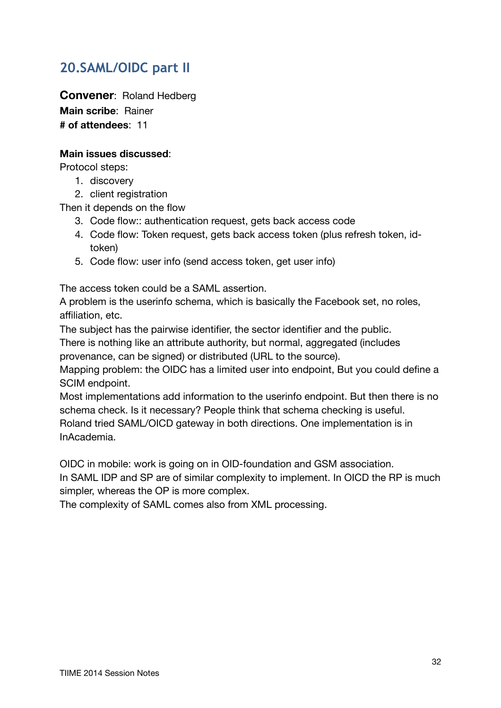# <span id="page-31-0"></span>**20.SAML/OIDC part II**

**Convener**: Roland Hedberg **Main scribe**: Rainer **# of attendees**: 11

### **Main issues discussed**:

Protocol steps:

- 1. discovery
- 2. client registration

Then it depends on the flow

- 3. Code flow:: authentication request, gets back access code
- 4. Code flow: Token request, gets back access token (plus refresh token, idtoken)
- 5. Code flow: user info (send access token, get user info)

The access token could be a SAML assertion.

A problem is the userinfo schema, which is basically the Facebook set, no roles, affiliation, etc.

The subject has the pairwise identifier, the sector identifier and the public.

There is nothing like an attribute authority, but normal, aggregated (includes provenance, can be signed) or distributed (URL to the source).

Mapping problem: the OIDC has a limited user into endpoint, But you could define a SCIM endpoint.

Most implementations add information to the userinfo endpoint. But then there is no schema check. Is it necessary? People think that schema checking is useful. Roland tried SAML/OICD gateway in both directions. One implementation is in InAcademia.

OIDC in mobile: work is going on in OID-foundation and GSM association.

In SAML IDP and SP are of similar complexity to implement. In OICD the RP is much simpler, whereas the OP is more complex.

The complexity of SAML comes also from XML processing.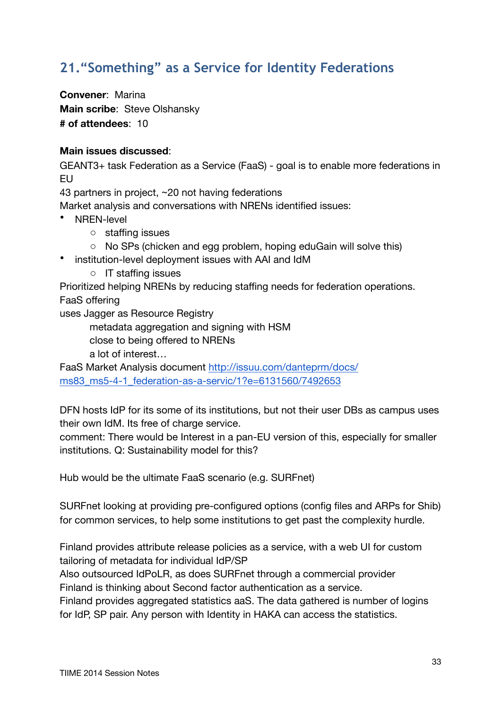# <span id="page-32-0"></span>**21."Something" as a Service for Identity Federations**

**Convener**: Marina **Main scribe**: Steve Olshansky **# of attendees**: 10

### **Main issues discussed**:

GEANT3+ task Federation as a Service (FaaS) - goal is to enable more federations in EU

43 partners in project, ~20 not having federations

Market analysis and conversations with NRENs identified issues:

- NREN-level
	- o staffing issues
	- o No SPs (chicken and egg problem, hoping eduGain will solve this)
- institution-level deployment issues with AAI and IdM
	- o IT staffing issues

Prioritized helping NRENs by reducing staffing needs for federation operations. FaaS offering

uses Jagger as Resource Registry

metadata aggregation and signing with HSM

close to being offered to NRENs

a lot of interest…

FaaS Market Analysis document [http://issuu.com/danteprm/docs/](http://issuu.com/danteprm/docs/ms83_ms5-4-1_federation-as-a-servic/1?e=6131560/7492653) ms83 ms5-4-1 federation-as-a-servic/1?e=6131560/7492653

DFN hosts IdP for its some of its institutions, but not their user DBs as campus uses their own IdM. Its free of charge service.

comment: There would be Interest in a pan-EU version of this, especially for smaller institutions. Q: Sustainability model for this?

Hub would be the ultimate FaaS scenario (e.g. SURFnet)

SURFnet looking at providing pre-configured options (config files and ARPs for Shib) for common services, to help some institutions to get past the complexity hurdle.

Finland provides attribute release policies as a service, with a web UI for custom tailoring of metadata for individual IdP/SP

Also outsourced IdPoLR, as does SURFnet through a commercial provider Finland is thinking about Second factor authentication as a service.

Finland provides aggregated statistics aaS. The data gathered is number of logins for IdP, SP pair. Any person with Identity in HAKA can access the statistics.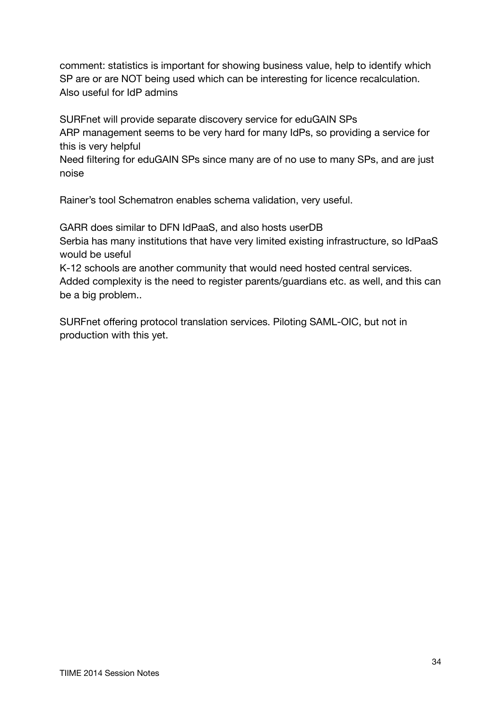comment: statistics is important for showing business value, help to identify which SP are or are NOT being used which can be interesting for licence recalculation. Also useful for IdP admins

SURFnet will provide separate discovery service for eduGAIN SPs ARP management seems to be very hard for many IdPs, so providing a service for this is very helpful

Need filtering for eduGAIN SPs since many are of no use to many SPs, and are just noise

Rainer's tool Schematron enables schema validation, very useful.

GARR does similar to DFN IdPaaS, and also hosts userDB Serbia has many institutions that have very limited existing infrastructure, so IdPaaS would be useful

K-12 schools are another community that would need hosted central services. Added complexity is the need to register parents/guardians etc. as well, and this can be a big problem..

SURFnet offering protocol translation services. Piloting SAML-OIC, but not in production with this yet.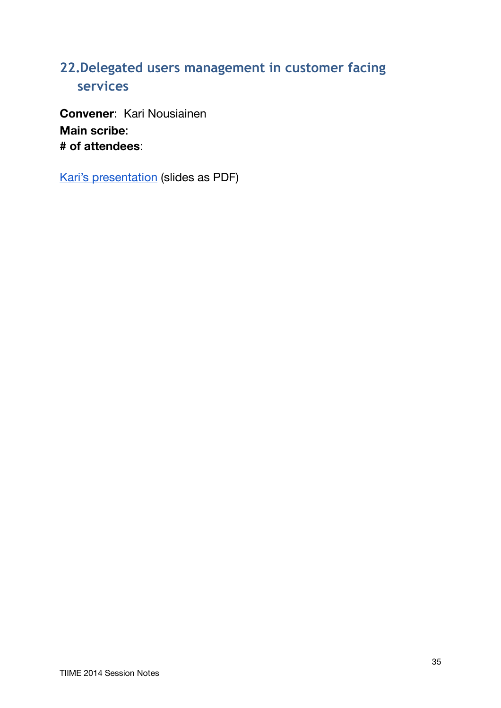# <span id="page-34-0"></span>**22.Delegated users management in customer facing services**

**Convener**: Kari Nousiainen **Main scribe**: **# of attendees**:

[Kari's presentation](https://identityworkshop.eu/ewti2014/EWTI_2014_presentation_Tiered_Delegated_Management.pdf) (slides as PDF)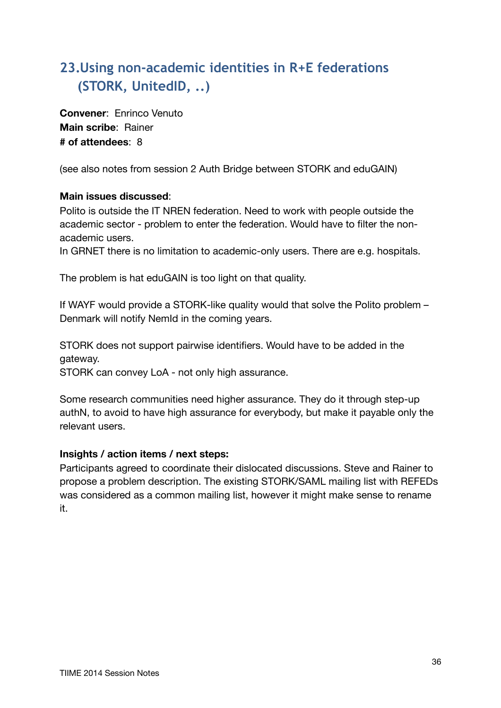# <span id="page-35-0"></span>**23.Using non-academic identities in R+E federations (STORK, UnitedID, ..)**

**Convener**: Enrinco Venuto **Main scribe**: Rainer **# of attendees**: 8

(see also notes from session [2](#page-3-0) [Auth Bridge between STORK and eduGAIN](#page-3-1))

### **Main issues discussed**:

Polito is outside the IT NREN federation. Need to work with people outside the academic sector - problem to enter the federation. Would have to filter the nonacademic users.

In GRNET there is no limitation to academic-only users. There are e.g. hospitals.

The problem is hat eduGAIN is too light on that quality.

If WAYF would provide a STORK-like quality would that solve the Polito problem – Denmark will notify NemId in the coming years.

STORK does not support pairwise identifiers. Would have to be added in the gateway.

STORK can convey LoA - not only high assurance.

Some research communities need higher assurance. They do it through step-up authN, to avoid to have high assurance for everybody, but make it payable only the relevant users.

### **Insights / action items / next steps:**

Participants agreed to coordinate their dislocated discussions. Steve and Rainer to propose a problem description. The existing STORK/SAML mailing list with REFEDs was considered as a common mailing list, however it might make sense to rename it.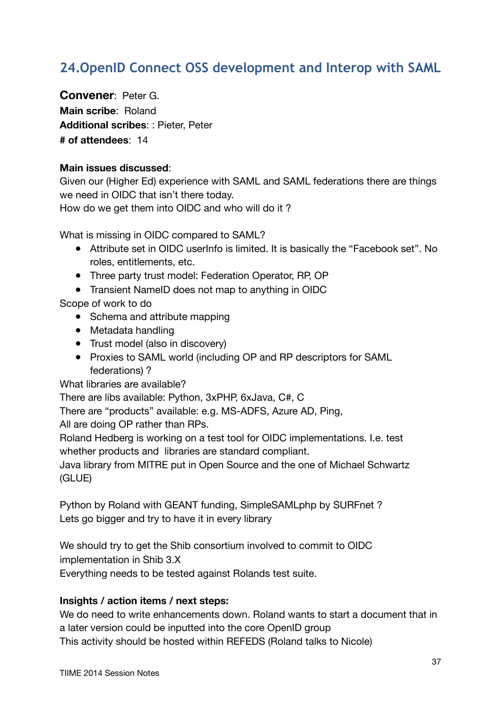# <span id="page-36-0"></span>**24.OpenID Connect OSS development and Interop with SAML**

**Convener**: Peter G. **Main scribe**: Roland **Additional scribes**: : Pieter, Peter **# of attendees**: 14

#### **Main issues discussed**:

Given our (Higher Ed) experience with SAML and SAML federations there are things we need in OIDC that isn't there today. How do we get them into OIDC and who will do it ?

What is missing in OIDC compared to SAML?

- Attribute set in OIDC userInfo is limited. It is basically the "Facebook set". No roles, entitlements, etc.
- Three party trust model: Federation Operator, RP, OP
- Transient NameID does not map to anything in OIDC

Scope of work to do

- Schema and attribute mapping
- Metadata handling
- Trust model (also in discovery)
- Proxies to SAML world (including OP and RP descriptors for SAML federations) ?

What libraries are available?

There are libs available: Python, 3xPHP, 6xJava, C#, C

There are "products" available: e.g. MS-ADFS, Azure AD, Ping,

All are doing OP rather than RPs.

Roland Hedberg is working on a test tool for OIDC implementations. I.e. test whether products and libraries are standard compliant.

Java library from MITRE put in Open Source and the one of Michael Schwartz (GLUE)

Python by Roland with GEANT funding, SimpleSAMLphp by SURFnet ? Lets go bigger and try to have it in every library

We should try to get the Shib consortium involved to commit to OIDC implementation in Shib 3.X

Everything needs to be tested against Rolands test suite.

#### **Insights / action items / next steps:**

We do need to write enhancements down. Roland wants to start a document that in a later version could be inputted into the core OpenID group This activity should be hosted within REFEDS (Roland talks to Nicole)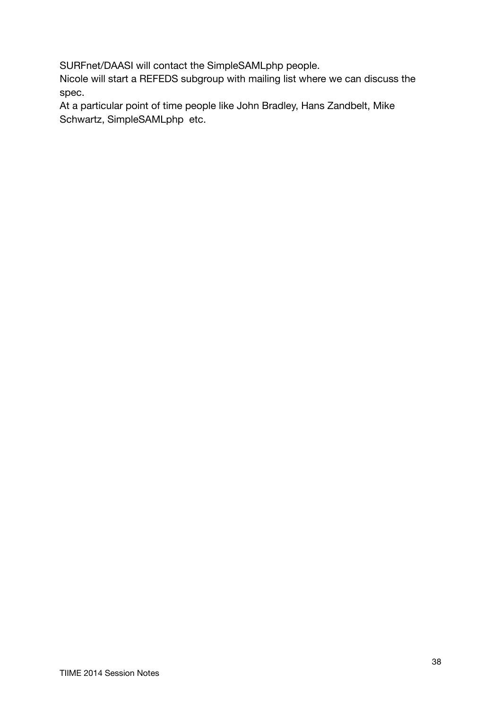SURFnet/DAASI will contact the SimpleSAMLphp people.

Nicole will start a REFEDS subgroup with mailing list where we can discuss the spec.

At a particular point of time people like John Bradley, Hans Zandbelt, Mike Schwartz, SimpleSAMLphp etc.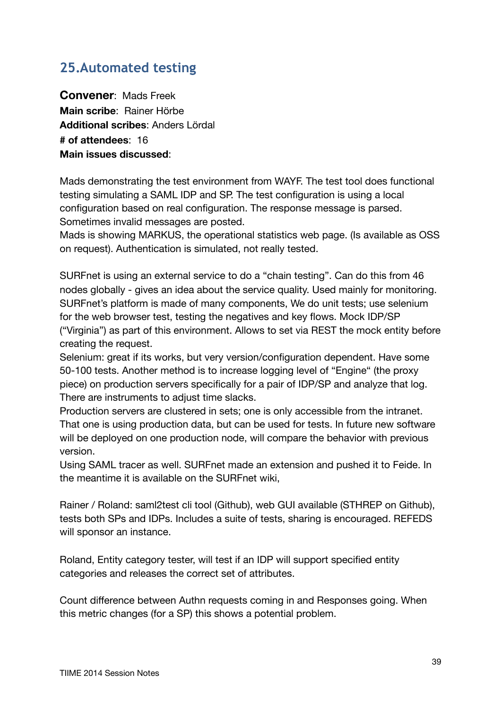# <span id="page-38-0"></span>**25.Automated testing**

**Convener**: Mads Freek **Main scribe**: Rainer Hörbe **Additional scribes**: Anders Lördal **# of attendees**: 16 **Main issues discussed**:

Mads demonstrating the test environment from WAYF. The test tool does functional testing simulating a SAML IDP and SP. The test configuration is using a local configuration based on real configuration. The response message is parsed. Sometimes invalid messages are posted.

Mads is showing MARKUS, the operational statistics web page. (Is available as OSS on request). Authentication is simulated, not really tested.

SURFnet is using an external service to do a "chain testing". Can do this from 46 nodes globally - gives an idea about the service quality. Used mainly for monitoring. SURFnet's platform is made of many components, We do unit tests; use selenium for the web browser test, testing the negatives and key flows. Mock IDP/SP ("Virginia") as part of this environment. Allows to set via REST the mock entity before creating the request.

Selenium: great if its works, but very version/configuration dependent. Have some 50-100 tests. Another method is to increase logging level of "Engine" (the proxy piece) on production servers specifically for a pair of IDP/SP and analyze that log. There are instruments to adjust time slacks.

Production servers are clustered in sets; one is only accessible from the intranet. That one is using production data, but can be used for tests. In future new software will be deployed on one production node, will compare the behavior with previous version.

Using SAML tracer as well. SURFnet made an extension and pushed it to Feide. In the meantime it is available on the SURFnet wiki,

Rainer / Roland: saml2test cli tool (Github), web GUI available (STHREP on Github), tests both SPs and IDPs. Includes a suite of tests, sharing is encouraged. REFEDS will sponsor an instance.

Roland, Entity category tester, will test if an IDP will support specified entity categories and releases the correct set of attributes.

Count difference between Authn requests coming in and Responses going. When this metric changes (for a SP) this shows a potential problem.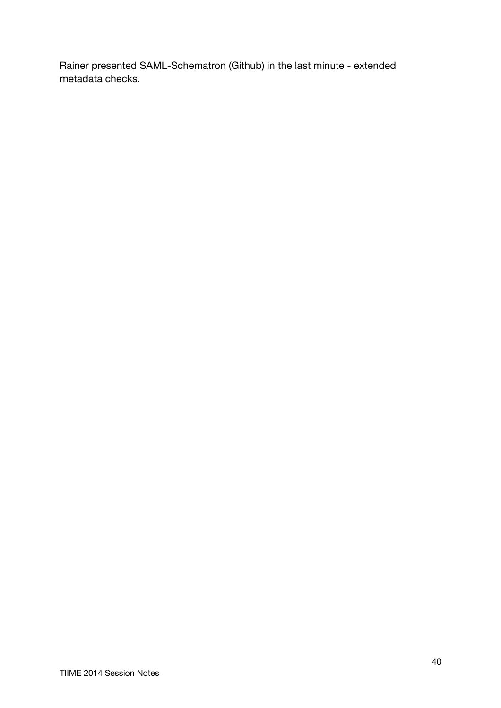Rainer presented SAML-Schematron (Github) in the last minute - extended metadata checks.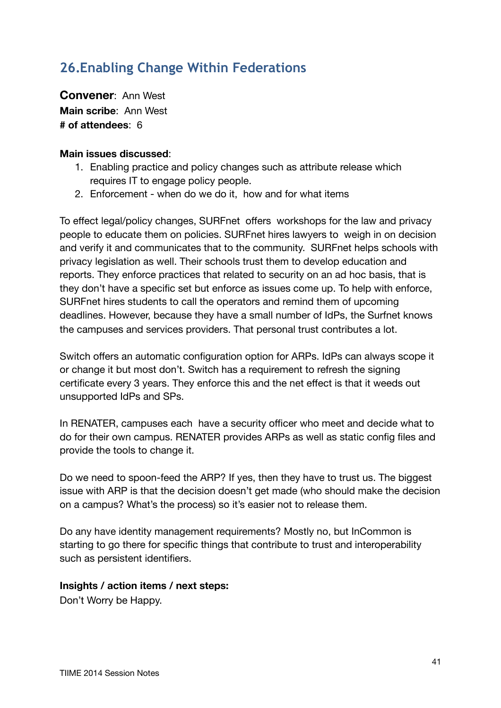# <span id="page-40-0"></span>**26.Enabling Change Within Federations**

**Convener**: Ann West **Main scribe**: Ann West **# of attendees**: 6

#### **Main issues discussed**:

- 1. Enabling practice and policy changes such as attribute release which requires IT to engage policy people.
- 2. Enforcement when do we do it, how and for what items

To effect legal/policy changes, SURFnet offers workshops for the law and privacy people to educate them on policies. SURFnet hires lawyers to weigh in on decision and verify it and communicates that to the community. SURFnet helps schools with privacy legislation as well. Their schools trust them to develop education and reports. They enforce practices that related to security on an ad hoc basis, that is they don't have a specific set but enforce as issues come up. To help with enforce, SURFnet hires students to call the operators and remind them of upcoming deadlines. However, because they have a small number of IdPs, the Surfnet knows the campuses and services providers. That personal trust contributes a lot.

Switch offers an automatic configuration option for ARPs. IdPs can always scope it or change it but most don't. Switch has a requirement to refresh the signing certificate every 3 years. They enforce this and the net effect is that it weeds out unsupported IdPs and SPs.

In RENATER, campuses each have a security officer who meet and decide what to do for their own campus. RENATER provides ARPs as well as static config files and provide the tools to change it.

Do we need to spoon-feed the ARP? If yes, then they have to trust us. The biggest issue with ARP is that the decision doesn't get made (who should make the decision on a campus? What's the process) so it's easier not to release them.

Do any have identity management requirements? Mostly no, but InCommon is starting to go there for specific things that contribute to trust and interoperability such as persistent identifiers.

#### **Insights / action items / next steps:**

Don't Worry be Happy.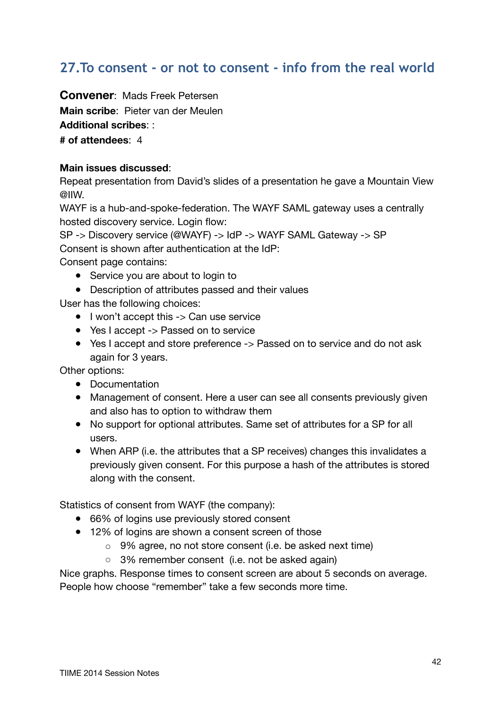## <span id="page-41-0"></span>**27.To consent - or not to consent - info from the real world**

**Convener**: Mads Freek Petersen

**Main scribe**: Pieter van der Meulen

**Additional scribes**: :

**# of attendees**: 4

### **Main issues discussed**:

Repeat presentation from David's slides of a presentation he gave a Mountain View @IIW.

WAYF is a hub-and-spoke-federation. The WAYF SAML gateway uses a centrally hosted discovery service. Login flow:

SP -> Discovery service (@WAYF) -> IdP -> WAYF SAML Gateway -> SP Consent is shown after authentication at the IdP: Consent page contains:

- Service you are about to login to
- Description of attributes passed and their values

User has the following choices:

- I won't accept this -> Can use service
- Yes I accept -> Passed on to service
- Yes I accept and store preference -> Passed on to service and do not ask again for 3 years.

Other options:

- Documentation
- Management of consent. Here a user can see all consents previously given and also has to option to withdraw them
- No support for optional attributes. Same set of attributes for a SP for all users.
- When ARP (i.e. the attributes that a SP receives) changes this invalidates a previously given consent. For this purpose a hash of the attributes is stored along with the consent.

Statistics of consent from WAYF (the company):

- 66% of logins use previously stored consent
- 12% of logins are shown a consent screen of those
	- 9% agree, no not store consent (i.e. be asked next time)
	- 3% remember consent (i.e. not be asked again)

Nice graphs. Response times to consent screen are about 5 seconds on average. People how choose "remember" take a few seconds more time.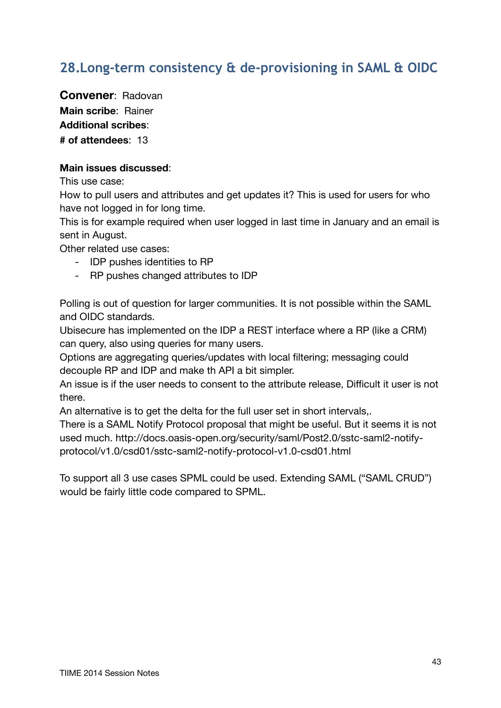# <span id="page-42-0"></span>**28.Long-term consistency & de-provisioning in SAML & OIDC**

**Convener**: Radovan **Main scribe**: Rainer **Additional scribes**: **# of attendees**: 13

### **Main issues discussed**:

This use case:

How to pull users and attributes and get updates it? This is used for users for who have not logged in for long time.

This is for example required when user logged in last time in January and an email is sent in August.

Other related use cases:

- IDP pushes identities to RP
- RP pushes changed attributes to IDP

Polling is out of question for larger communities. It is not possible within the SAML and OIDC standards.

Ubisecure has implemented on the IDP a REST interface where a RP (like a CRM) can query, also using queries for many users.

Options are aggregating queries/updates with local filtering; messaging could decouple RP and IDP and make th API a bit simpler.

An issue is if the user needs to consent to the attribute release, Difficult it user is not there.

An alternative is to get the delta for the full user set in short intervals,.

There is a SAML Notify Protocol proposal that might be useful. But it seems it is not used much. http://docs.oasis-open.org/security/saml/Post2.0/sstc-saml2-notifyprotocol/v1.0/csd01/sstc-saml2-notify-protocol-v1.0-csd01.html

To support all 3 use cases SPML could be used. Extending SAML ("SAML CRUD") would be fairly little code compared to SPML.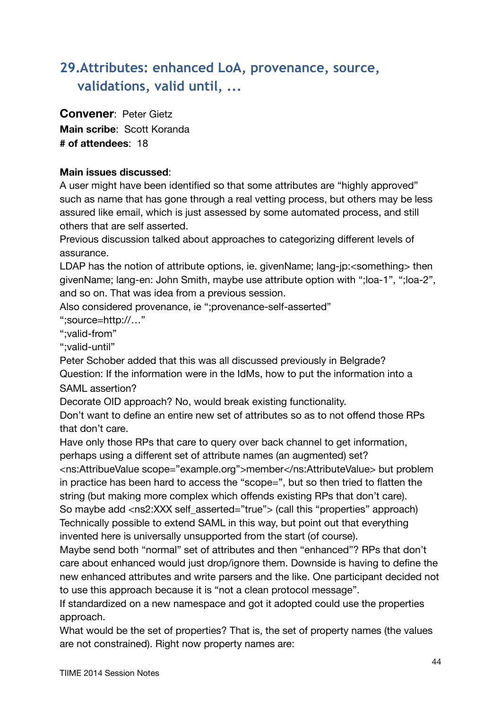# <span id="page-43-0"></span>**29.Attributes: enhanced LoA, provenance, source, validations, valid until, ...**

### **Convener**: Peter Gietz

**Main scribe**: Scott Koranda **# of attendees**: 18

### **Main issues discussed**:

A user might have been identified so that some attributes are "highly approved" such as name that has gone through a real vetting process, but others may be less assured like email, which is just assessed by some automated process, and still others that are self asserted.

Previous discussion talked about approaches to categorizing different levels of assurance.

LDAP has the notion of attribute options, ie. givenName; lang-jp:<something> then givenName; lang-en: John Smith, maybe use attribute option with ";loa-1", ";loa-2", and so on. That was idea from a previous session.

Also considered provenance, ie ";provenance-self-asserted"

";source=http://…"

";valid-from"

";valid-until"

Peter Schober added that this was all discussed previously in Belgrade? Question: If the information were in the IdMs, how to put the information into a SAML assertion?

Decorate OID approach? No, would break existing functionality.

Don't want to define an entire new set of attributes so as to not offend those RPs that don't care.

Have only those RPs that care to query over back channel to get information, perhaps using a different set of attribute names (an augmented) set?

<ns:AttribueValue scope="example.org">member</ns:AttributeValue> but problem in practice has been hard to access the "scope=", but so then tried to flatten the string (but making more complex which offends existing RPs that don't care). So maybe add <ns2:XXX self\_asserted="true"> (call this "properties" approach) Technically possible to extend SAML in this way, but point out that everything invented here is universally unsupported from the start (of course).

Maybe send both "normal" set of attributes and then "enhanced"? RPs that don't care about enhanced would just drop/ignore them. Downside is having to define the new enhanced attributes and write parsers and the like. One participant decided not to use this approach because it is "not a clean protocol message".

If standardized on a new namespace and got it adopted could use the properties approach.

What would be the set of properties? That is, the set of property names (the values are not constrained). Right now property names are: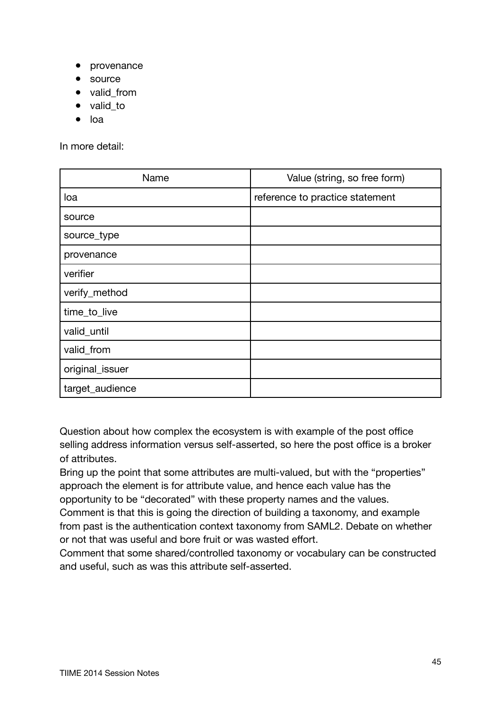- provenance
- source
- valid\_from
- valid to
- loa

In more detail:

| Name            | Value (string, so free form)    |
|-----------------|---------------------------------|
| loa             | reference to practice statement |
| source          |                                 |
| source_type     |                                 |
| provenance      |                                 |
| verifier        |                                 |
| verify_method   |                                 |
| time_to_live    |                                 |
| valid_until     |                                 |
| valid_from      |                                 |
| original_issuer |                                 |
| target_audience |                                 |

Question about how complex the ecosystem is with example of the post office selling address information versus self-asserted, so here the post office is a broker of attributes.

Bring up the point that some attributes are multi-valued, but with the "properties" approach the element is for attribute value, and hence each value has the opportunity to be "decorated" with these property names and the values. Comment is that this is going the direction of building a taxonomy, and example from past is the authentication context taxonomy from SAML2. Debate on whether or not that was useful and bore fruit or was wasted effort.

Comment that some shared/controlled taxonomy or vocabulary can be constructed and useful, such as was this attribute self-asserted.